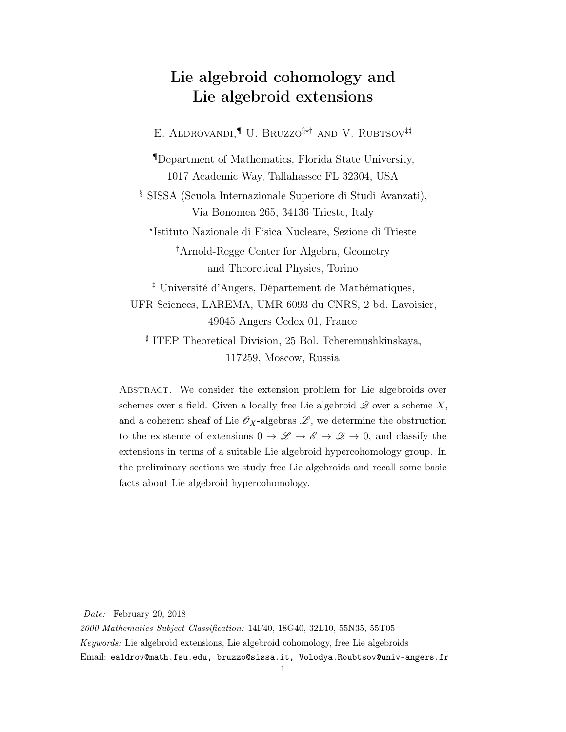# Lie algebroid cohomology and Lie algebroid extensions

E. ALDROVANDI,<sup>¶</sup> U. BRUZZO<sup>§\*†</sup> AND V. RUBTSOV<sup>#</sup>

¶Department of Mathematics, Florida State University, 1017 Academic Way, Tallahassee FL 32304, USA

§ SISSA (Scuola Internazionale Superiore di Studi Avanzati), Via Bonomea 265, 34136 Trieste, Italy

? Istituto Nazionale di Fisica Nucleare, Sezione di Trieste

†Arnold-Regge Center for Algebra, Geometry and Theoretical Physics, Torino

‡ Université d'Angers, Département de Mathématiques, UFR Sciences, LAREMA, UMR 6093 du CNRS, 2 bd. Lavoisier, 49045 Angers Cedex 01, France

] ITEP Theoretical Division, 25 Bol. Tcheremushkinskaya, 117259, Moscow, Russia

Abstract. We consider the extension problem for Lie algebroids over schemes over a field. Given a locally free Lie algebroid  $\mathscr Q$  over a scheme X, and a coherent sheaf of Lie  $\mathscr{O}_X$ -algebras  $\mathscr{L}$ , we determine the obstruction to the existence of extensions  $0 \to \mathscr{L} \to \mathscr{E} \to \mathscr{Q} \to 0$ , and classify the extensions in terms of a suitable Lie algebroid hypercohomology group. In the preliminary sections we study free Lie algebroids and recall some basic facts about Lie algebroid hypercohomology.

Date: February 20, 2018

<sup>2000</sup> Mathematics Subject Classification: 14F40, 18G40, 32L10, 55N35, 55T05 Keywords: Lie algebroid extensions, Lie algebroid cohomology, free Lie algebroids Email: ealdrov@math.fsu.edu, bruzzo@sissa.it, Volodya.Roubtsov@univ-angers.fr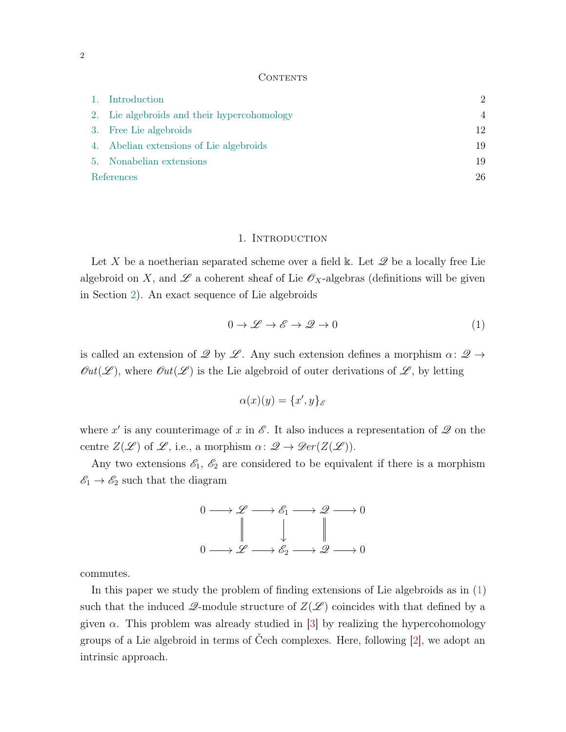#### **CONTENTS**

|            | 1. Introduction                             | $\mathcal{D}_{\mathcal{L}}$ |
|------------|---------------------------------------------|-----------------------------|
|            | 2. Lie algebroids and their hypercohomology | 4                           |
|            | 3. Free Lie algebroids                      | 12                          |
|            | 4. Abelian extensions of Lie algebroids     | 19                          |
|            | 5. Nonabelian extensions                    | 19                          |
| References |                                             | 26                          |

## 1. INTRODUCTION

<span id="page-1-0"></span>Let X be a noetherian separated scheme over a field k. Let  $\mathscr Q$  be a locally free Lie algebroid on X, and  $\mathscr L$  a coherent sheaf of Lie  $\mathscr O_X$ -algebras (definitions will be given in Section [2\)](#page-3-0). An exact sequence of Lie algebroids

<span id="page-1-1"></span>
$$
0 \to \mathcal{L} \to \mathcal{E} \to \mathcal{Q} \to 0 \tag{1}
$$

is called an extension of  $\mathscr Q$  by  $\mathscr L$ . Any such extension defines a morphism  $\alpha: \mathscr Q \to$  $\mathcal{O}ut(\mathcal{L})$ , where  $\mathcal{O}ut(\mathcal{L})$  is the Lie algebroid of outer derivations of  $\mathcal{L}$ , by letting

$$
\alpha(x)(y) = \{x', y\}_{\mathscr{E}}
$$

where x' is any counterimage of x in  $\mathscr E$ . It also induces a representation of  $\mathscr Q$  on the centre  $Z(\mathscr{L})$  of  $\mathscr{L}$ , i.e., a morphism  $\alpha: \mathscr{Q} \to \mathscr{D}er(Z(\mathscr{L}))$ .

Any two extensions  $\mathscr{E}_1$ ,  $\mathscr{E}_2$  are considered to be equivalent if there is a morphism  $\mathscr{E}_1 \to \mathscr{E}_2$  such that the diagram



commutes.

In this paper we study the problem of finding extensions of Lie algebroids as in [\(1\)](#page-1-1) such that the induced  $\mathcal{Q}$ -module structure of  $Z(\mathcal{L})$  coincides with that defined by a given  $\alpha$ . This problem was already studied in [\[3\]](#page-25-1) by realizing the hypercohomology groups of a Lie algebroid in terms of Čech complexes. Here, following [\[2\]](#page-25-2), we adopt an intrinsic approach.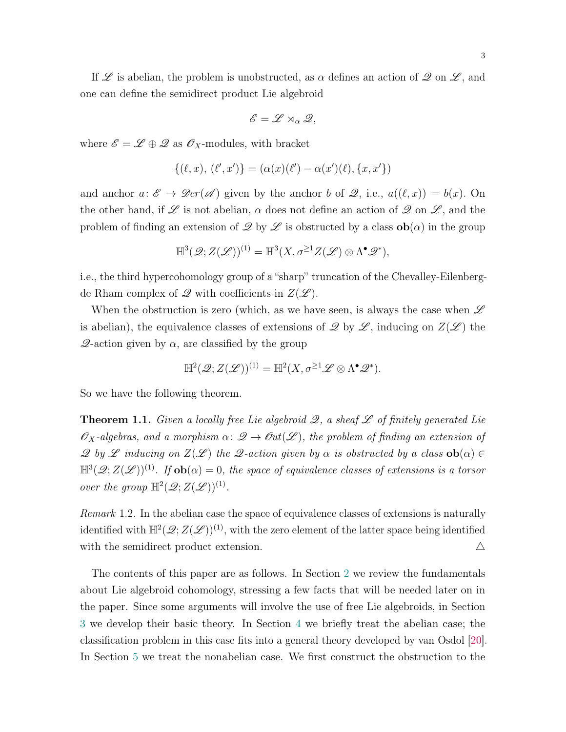If  $\mathscr L$  is abelian, the problem is unobstructed, as  $\alpha$  defines an action of  $\mathscr Q$  on  $\mathscr L$ , and one can define the semidirect product Lie algebroid

$$
\mathscr{E}=\mathscr{L}\rtimes_{\alpha}\mathscr{Q},
$$

where  $\mathscr{E} = \mathscr{L} \oplus \mathscr{Q}$  as  $\mathscr{O}_X$ -modules, with bracket

$$
\{(\ell, x), (\ell', x')\} = (\alpha(x)(\ell') - \alpha(x')(\ell), \{x, x'\})
$$

and anchor  $a: \mathscr{E} \to \mathscr{D}er(\mathscr{A})$  given by the anchor b of  $\mathscr{Q}$ , i.e.,  $a((\ell, x)) = b(x)$ . On the other hand, if  $\mathscr L$  is not abelian,  $\alpha$  does not define an action of  $\mathscr Q$  on  $\mathscr L$ , and the problem of finding an extension of  $\mathscr Q$  by  $\mathscr L$  is obstructed by a class  $ob(\alpha)$  in the group

$$
\mathbb{H}^{3}(\mathscr{Q};Z(\mathscr{L}))^{(1)}=\mathbb{H}^{3}(X,\sigma^{\geq 1}Z(\mathscr{L})\otimes\Lambda^{\bullet}\mathscr{Q}^{*}),
$$

i.e., the third hypercohomology group of a "sharp" truncation of the Chevalley-Eilenbergde Rham complex of  $\mathscr Q$  with coefficients in  $Z(\mathscr L)$ .

When the obstruction is zero (which, as we have seen, is always the case when  $\mathscr L$ is abelian), the equivalence classes of extensions of  $\mathscr Q$  by  $\mathscr L$ , inducing on  $Z(\mathscr L)$  the  $\mathscr{Q}$ -action given by  $\alpha$ , are classified by the group

$$
\mathbb{H}^{2}(\mathscr{Q};Z(\mathscr{L}))^{(1)}=\mathbb{H}^{2}(X,\sigma^{\geq 1}\mathscr{L}\otimes\Lambda^{\bullet}\mathscr{Q}^{*}).
$$

So we have the following theorem.

<span id="page-2-0"></span>**Theorem 1.1.** Given a locally free Lie algebroid  $\mathscr{Q}$ , a sheaf  $\mathscr{L}$  of finitely generated Lie  $\mathscr{O}_X$ -algebras, and a morphism  $\alpha: \mathscr{Q} \to \mathscr{O}\mathfrak{ut}(\mathscr{L})$ , the problem of finding an extension of  $\mathscr{Q}$  by  $\mathscr{L}$  inducing on  $Z(\mathscr{L})$  the  $\mathscr{Q}$ -action given by  $\alpha$  is obstructed by a class  $ob(\alpha) \in$  $\mathbb{H}^3(\mathscr{Q};Z(\mathscr{L}))^{(1)}$ . If  $\mathbf{ob}(\alpha)=0$ , the space of equivalence classes of extensions is a torsor over the group  $\mathbb{H}^2(\mathscr{Q};Z(\mathscr{L}))^{(1)}$ .

Remark 1.2. In the abelian case the space of equivalence classes of extensions is naturally identified with  $\mathbb{H}^2(\mathscr{Q};Z(\mathscr{L}))^{(1)}$ , with the zero element of the latter space being identified with the semidirect product extension.  $\Delta$ 

The contents of this paper are as follows. In Section [2](#page-3-0) we review the fundamentals about Lie algebroid cohomology, stressing a few facts that will be needed later on in the paper. Since some arguments will involve the use of free Lie algebroids, in Section [3](#page-11-0) we develop their basic theory. In Section [4](#page-18-0) we briefly treat the abelian case; the classification problem in this case fits into a general theory developed by van Osdol [\[20\]](#page-26-0). In Section [5](#page-18-1) we treat the nonabelian case. We first construct the obstruction to the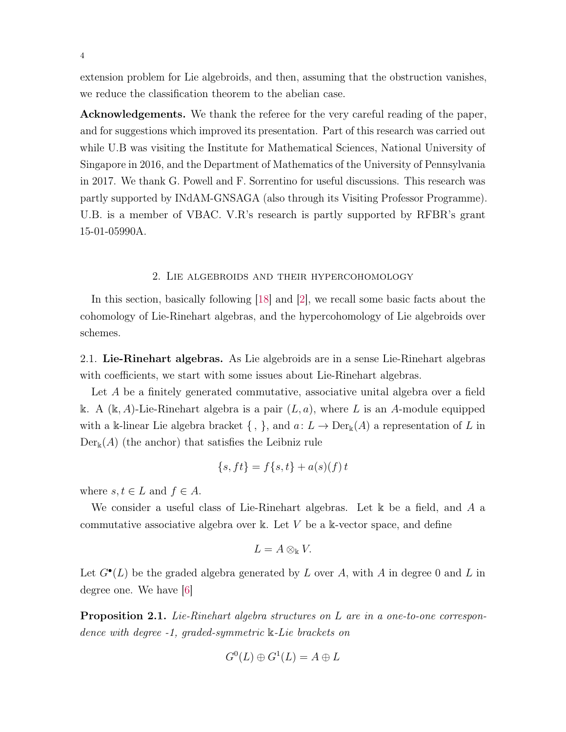extension problem for Lie algebroids, and then, assuming that the obstruction vanishes, we reduce the classification theorem to the abelian case.

Acknowledgements. We thank the referee for the very careful reading of the paper, and for suggestions which improved its presentation. Part of this research was carried out while U.B was visiting the Institute for Mathematical Sciences, National University of Singapore in 2016, and the Department of Mathematics of the University of Pennsylvania in 2017. We thank G. Powell and F. Sorrentino for useful discussions. This research was partly supported by INdAM-GNSAGA (also through its Visiting Professor Programme). U.B. is a member of VBAC. V.R's research is partly supported by RFBR's grant 15-01-05990A.

# 2. Lie algebroids and their hypercohomology

<span id="page-3-0"></span>In this section, basically following [\[18\]](#page-26-1) and [\[2\]](#page-25-2), we recall some basic facts about the cohomology of Lie-Rinehart algebras, and the hypercohomology of Lie algebroids over schemes.

<span id="page-3-1"></span>2.1. Lie-Rinehart algebras. As Lie algebroids are in a sense Lie-Rinehart algebras with coefficients, we start with some issues about Lie-Rinehart algebras.

Let A be a finitely generated commutative, associative unital algebra over a field k. A  $(k, A)$ -Lie-Rinehart algebra is a pair  $(L, a)$ , where L is an A-module equipped with a k-linear Lie algebra bracket  $\{ , \}$ , and  $a: L \to Der_{\mathbb{k}}(A)$  a representation of L in  $Der_{\mathbb{k}}(A)$  (the anchor) that satisfies the Leibniz rule

$$
\{s, ft\} = f\{s, t\} + a(s)(f) t
$$

where  $s, t \in L$  and  $f \in A$ .

We consider a useful class of Lie-Rinehart algebras. Let k be a field, and A a commutative associative algebra over k. Let  $V$  be a k-vector space, and define

$$
L=A\otimes_{\Bbbk}V.
$$

Let  $G^{\bullet}(L)$  be the graded algebra generated by L over A, with A in degree 0 and L in degree one. We have [\[6\]](#page-25-3)

Proposition 2.1. Lie-Rinehart algebra structures on L are in a one-to-one correspondence with degree -1, graded-symmetric k-Lie brackets on

$$
G^0(L) \oplus G^1(L) = A \oplus L
$$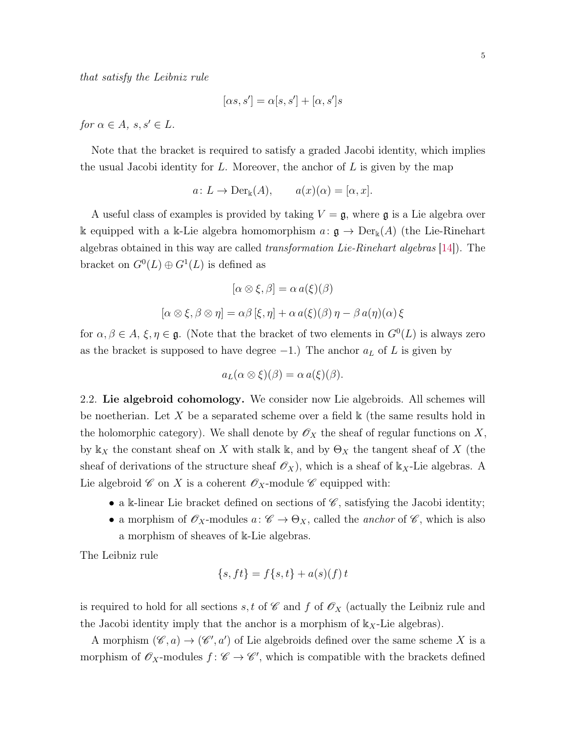that satisfy the Leibniz rule

$$
[\alpha s, s'] = \alpha[s, s'] + [\alpha, s']s
$$

for  $\alpha \in A$ ,  $s, s' \in L$ .

Note that the bracket is required to satisfy a graded Jacobi identity, which implies the usual Jacobi identity for  $L$ . Moreover, the anchor of  $L$  is given by the map

$$
a: L \to Der_{\mathbb{k}}(A), \qquad a(x)(\alpha) = [\alpha, x].
$$

A useful class of examples is provided by taking  $V = \mathfrak{g}$ , where  $\mathfrak{g}$  is a Lie algebra over k equipped with a k-Lie algebra homomorphism  $a: \mathfrak{g} \to \mathrm{Der}_{\mathbb{k}}(A)$  (the Lie-Rinehart algebras obtained in this way are called transformation Lie-Rinehart algebras [\[14\]](#page-26-2)). The bracket on  $G^0(L) \oplus G^1(L)$  is defined as

$$
[\alpha \otimes \xi, \beta] = \alpha a(\xi)(\beta)
$$

$$
[\alpha \otimes \xi, \beta \otimes \eta] = \alpha \beta [\xi, \eta] + \alpha a(\xi)(\beta) \eta - \beta a(\eta)(\alpha) \xi
$$

for  $\alpha, \beta \in A$ ,  $\xi, \eta \in \mathfrak{g}$ . (Note that the bracket of two elements in  $G^0(L)$  is always zero as the bracket is supposed to have degree  $-1$ .) The anchor  $a<sub>L</sub>$  of L is given by

$$
a_L(\alpha \otimes \xi)(\beta) = \alpha a(\xi)(\beta).
$$

2.2. Lie algebroid cohomology. We consider now Lie algebroids. All schemes will be noetherian. Let X be a separated scheme over a field  $\Bbbk$  (the same results hold in the holomorphic category). We shall denote by  $\mathscr{O}_X$  the sheaf of regular functions on X, by  $\mathbb{k}_X$  the constant sheaf on X with stalk k, and by  $\Theta_X$  the tangent sheaf of X (the sheaf of derivations of the structure sheaf  $\mathcal{O}_X$ , which is a sheaf of  $\mathbb{k}_X$ -Lie algebras. A Lie algebroid  $\mathscr C$  on X is a coherent  $\mathscr O_X$ -module  $\mathscr C$  equipped with:

- a k-linear Lie bracket defined on sections of  $\mathscr{C}$ , satisfying the Jacobi identity;
- a morphism of  $\mathscr{O}_X$ -modules  $a: \mathscr{C} \to \Theta_X$ , called the *anchor* of  $\mathscr{C}$ , which is also a morphism of sheaves of k-Lie algebras.

The Leibniz rule

$$
\{s, ft\} = f\{s, t\} + a(s)(f) t
$$

is required to hold for all sections s, t of  $\mathscr C$  and f of  $\mathscr O_X$  (actually the Leibniz rule and the Jacobi identity imply that the anchor is a morphism of  $k_X$ -Lie algebras).

A morphism  $(\mathscr{C}, a) \to (\mathscr{C}', a')$  of Lie algebroids defined over the same scheme X is a morphism of  $\mathscr{O}_X$ -modules  $f: \mathscr{C} \to \mathscr{C}'$ , which is compatible with the brackets defined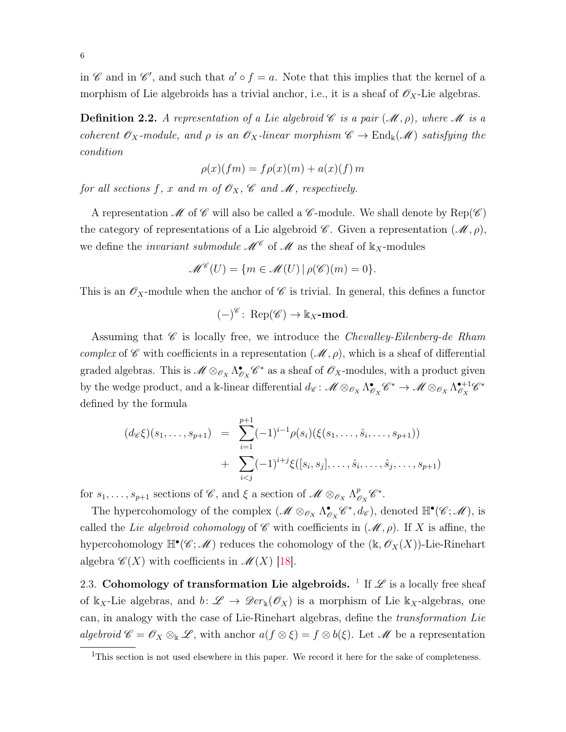in  $\mathscr C$  and in  $\mathscr C'$ , and such that  $a' \circ f = a$ . Note that this implies that the kernel of a morphism of Lie algebroids has a trivial anchor, i.e., it is a sheaf of  $\mathscr{O}_X$ -Lie algebras.

**Definition 2.2.** A representation of a Lie algebroid  $\mathscr C$  is a pair  $(\mathscr M, \rho)$ , where  $\mathscr M$  is a coherent  $\mathscr{O}_X$ -module, and  $\rho$  is an  $\mathscr{O}_X$ -linear morphism  $\mathscr{C} \to \text{End}_{\mathbb{k}}(\mathscr{M})$  satisfying the condition

$$
\rho(x)(fm) = f\rho(x)(m) + a(x)(f) m
$$

for all sections f, x and m of  $\mathcal{O}_X$ ,  $\mathcal{C}$  and  $\mathcal{M}$ , respectively.

A representation  $\mathscr M$  of  $\mathscr C$  will also be called a  $\mathscr C$ -module. We shall denote by  $\text{Rep}(\mathscr C)$ the category of representations of a Lie algebroid  $\mathscr{C}$ . Given a representation  $(\mathscr{M}, \rho)$ , we define the *invariant submodule*  $\mathcal{M}^{\mathcal{C}}$  of  $\mathcal{M}$  as the sheaf of  $k_X$ -modules

$$
\mathcal{M}^{\mathscr{C}}(U) = \{ m \in \mathscr{M}(U) \, | \, \rho(\mathscr{C})(m) = 0 \}.
$$

This is an  $\mathscr{O}_X$ -module when the anchor of  $\mathscr{C}$  is trivial. In general, this defines a functor

$$
(-)^{\mathscr{C}}\colon \operatorname{Rep}(\mathscr{C}) \to \Bbbk_X\text{-mod}.
$$

Assuming that  $\mathscr C$  is locally free, we introduce the *Chevalley-Eilenberg-de Rham* complex of C with coefficients in a representation  $(\mathcal{M}, \rho)$ , which is a sheaf of differential graded algebras. This is  $\mathscr{M} \otimes_{\mathscr{O}_X} \Lambda^{\bullet}_{\mathscr{C}}$  $\bullet_{\mathscr{O}_X}\mathscr{C}^*$  as a sheaf of  $\mathscr{O}_X\text{-modules},$  with a product given by the wedge product, and a k-linear differential  $d_{\mathscr{C}}: \mathscr{M} \otimes_{\mathscr{O}_X} \Lambda^{\bullet}_{\mathscr{C}}$  $\begin{array}{c} \bullet\ \mathscr{C}_X \mathscr{C}^* \to \mathscr{M} \otimes_{\mathscr{O}_X} \Lambda_{\mathscr{O}_X}^{\bullet+1} \end{array}$  $\frac{\bullet + 1}{\mathscr{O}_X}$ defined by the formula

$$
(d_{\mathscr{C}}\xi)(s_1,\ldots,s_{p+1}) = \sum_{i=1}^{p+1} (-1)^{i-1} \rho(s_i)(\xi(s_1,\ldots,\hat{s}_i,\ldots,s_{p+1})) + \sum_{i
$$

for  $s_1, \ldots, s_{p+1}$  sections of  $\mathscr{C}$ , and  $\xi$  a section of  $\mathscr{M} \otimes_{\mathscr{O}_X} \Lambda^p_{\ell}$  $^p_{\mathscr{O}_X}\mathscr{C}^*.$ 

The hypercohomology of the complex  $(\mathcal{M} \otimes_{\mathscr{O}_X} \Lambda^{\bullet}_{\mathscr{E}})$  $\mathcal{C}_{\mathcal{S}_X}$  $\mathscr{C}^*, d_{\mathscr{C}}$ , denoted  $\mathbb{H}^{\bullet}(\mathscr{C}; \mathscr{M})$ , is called the Lie algebroid cohomology of  $\mathscr C$  with coefficients in  $(\mathscr M,\rho)$ . If X is affine, the hypercohomology  $\mathbb{H}^{\bullet}(\mathscr{C};\mathscr{M})$  reduces the cohomology of the  $(\mathbb{k}, \mathscr{O}_X(X))$ -Lie-Rinehart algebra  $\mathscr{C}(X)$  with coefficients in  $\mathscr{M}(X)$  [\[18\]](#page-26-1).

2.3. Cohomology of transformation Lie algebroids. <sup>[1](#page-5-0)</sup> If  $\mathscr L$  is a locally free sheaf of  $k_X$ -Lie algebras, and  $b: \mathscr{L} \to \mathscr{D}er_k(\mathscr{O}_X)$  is a morphism of Lie  $k_X$ -algebras, one can, in analogy with the case of Lie-Rinehart algebras, define the transformation Lie algebroid  $\mathscr{C} = \mathscr{O}_X \otimes_{\Bbbk} \mathscr{L}$ , with anchor  $a(f \otimes \xi) = f \otimes b(\xi)$ . Let  $\mathscr{M}$  be a representation

<span id="page-5-0"></span><sup>&</sup>lt;sup>1</sup>This section is not used elsewhere in this paper. We record it here for the sake of completeness.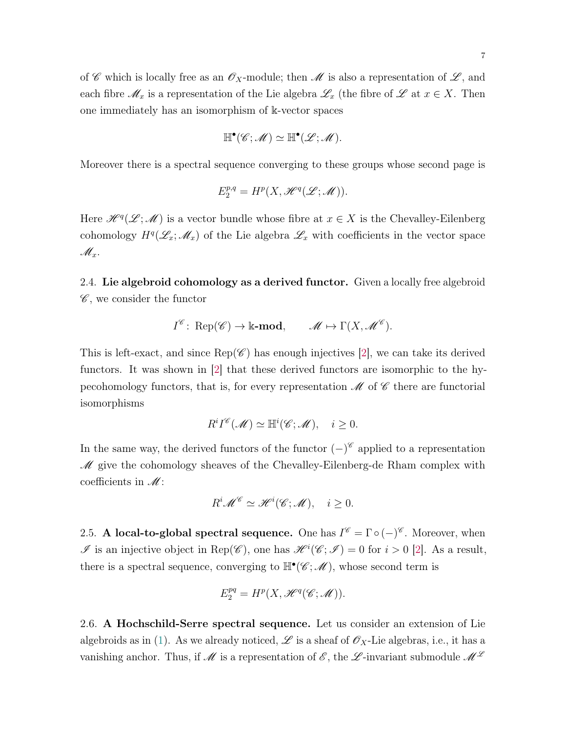$$
\mathbb{H}^\bullet(\mathscr{C};\mathscr{M})\simeq \mathbb{H}^\bullet(\mathscr{L};\mathscr{M}).
$$

Moreover there is a spectral sequence converging to these groups whose second page is

$$
E_2^{p,q} = H^p(X, \mathcal{H}^q(\mathcal{L}; \mathcal{M})).
$$

Here  $\mathscr{H}^q(\mathscr{L};\mathscr{M})$  is a vector bundle whose fibre at  $x \in X$  is the Chevalley-Eilenberg cohomology  $H^q(\mathscr{L}_x;\mathscr{M}_x)$  of the Lie algebra  $\mathscr{L}_x$  with coefficients in the vector space  $\mathscr{M}_x$ .

<span id="page-6-0"></span>2.4. Lie algebroid cohomology as a derived functor. Given a locally free algebroid  $\mathscr{C}$ , we consider the functor

$$
I^{\mathscr{C}}\colon \operatorname{Rep}(\mathscr{C}) \to \Bbbk\text{-mod}, \qquad \mathscr{M} \mapsto \Gamma(X, \mathscr{M}^{\mathscr{C}}).
$$

This is left-exact, and since  $\text{Rep}(\mathscr{C})$  has enough injectives [\[2\]](#page-25-2), we can take its derived functors. It was shown in [\[2\]](#page-25-2) that these derived functors are isomorphic to the hypecohomology functors, that is, for every representation  $\mathcal M$  of  $\mathcal C$  there are functorial isomorphisms

$$
R^iI^{\mathscr{C}}(\mathscr{M})\simeq \mathbb{H}^i(\mathscr{C};\mathscr{M}),\quad i\geq 0.
$$

In the same way, the derived functors of the functor  $(-)^\mathscr{C}$  applied to a representation  $\mathscr M$  give the cohomology sheaves of the Chevalley-Eilenberg-de Rham complex with coefficients in  $\mathcal{M}$ :

$$
R^i \mathscr{M}^\mathscr{C} \simeq \mathscr{H}^i(\mathscr{C}; \mathscr{M}), \quad i \ge 0.
$$

2.5. A local-to-global spectral sequence. One has  $I^{\mathscr{C}} = \Gamma \circ (-)^{\mathscr{C}}$ . Moreover, when  $\mathscr I$  is an injective object in Rep( $\mathscr C$ ), one has  $\mathscr H^i(\mathscr C;\mathscr I)=0$  for  $i>0$  [\[2\]](#page-25-2). As a result, there is a spectral sequence, converging to  $\mathbb{H}^{\bullet}(\mathscr{C};\mathscr{M})$ , whose second term is

$$
E_2^{pq} = H^p(X, \mathcal{H}^q(\mathcal{C}; \mathcal{M})).
$$

2.6. A Hochschild-Serre spectral sequence. Let us consider an extension of Lie algebroids as in [\(1\)](#page-1-1). As we already noticed,  $\mathscr L$  is a sheaf of  $\mathscr O_X$ -Lie algebras, i.e., it has a vanishing anchor. Thus, if  $\mathscr M$  is a representation of  $\mathscr E$ , the  $\mathscr L$ -invariant submodule  $\mathscr M^{\mathscr L}$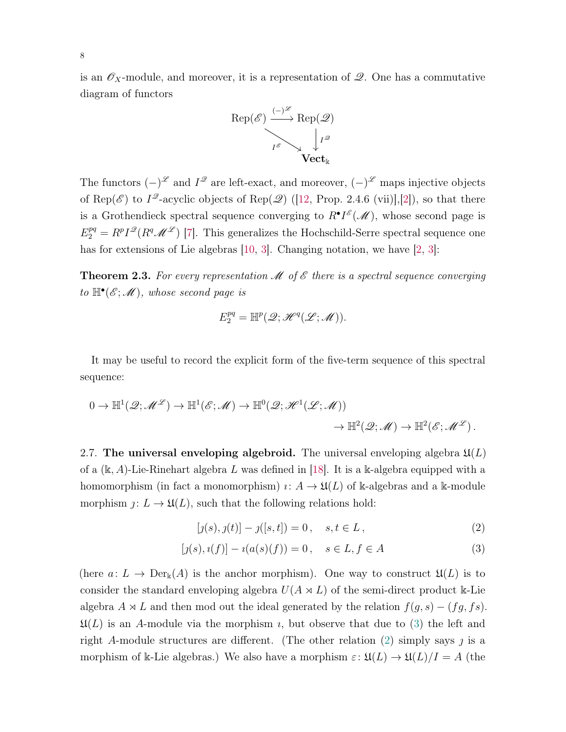is an  $\mathscr{O}_X$ -module, and moreover, it is a representation of  $\mathscr{Q}$ . One has a commutative diagram of functors



The functors  $(-)^{\mathscr{L}}$  and  $I^{\mathscr{Q}}$  are left-exact, and moreover,  $(-)^{\mathscr{L}}$  maps injective objects of Rep( $\mathscr{E}$ ) to  $I^{\mathscr{Q}}$ -acyclic objects of Rep( $\mathscr{Q}$ ) ([\[12,](#page-26-3) Prop. 2.4.6 (vii)],[\[2\]](#page-25-2)), so that there is a Grothendieck spectral sequence converging to  $R^{\bullet}I^{\mathscr{E}}(\mathscr{M})$ , whose second page is  $E_2^{pq} = R^p I^{\mathcal{D}}(R^q \mathcal{M}^{\mathcal{L}})$  [\[7\]](#page-26-4). This generalizes the Hochschild-Serre spectral sequence one has for extensions of Lie algebras [\[10,](#page-26-5) [3\]](#page-25-1). Changing notation, we have [\[2,](#page-25-2) 3]:

**Theorem 2.3.** For every representation  $\mathcal{M}$  of  $\mathcal{E}$  there is a spectral sequence converging to  $\mathbb{H}^{\bullet}(\mathscr{E};\mathscr{M})$ , whose second page is

$$
E_2^{pq} = \mathbb{H}^p(\mathcal{Q}; \mathcal{H}^q(\mathcal{L}; \mathcal{M})).
$$

It may be useful to record the explicit form of the five-term sequence of this spectral sequence:

$$
0 \to \mathbb{H}^1(\mathscr{Q}; \mathscr{M}^{\mathscr{L}}) \to \mathbb{H}^1(\mathscr{E}; \mathscr{M}) \to \mathbb{H}^0(\mathscr{Q}; \mathscr{H}^1(\mathscr{L}; \mathscr{M})) \to \mathbb{H}^2(\mathscr{Q}; \mathscr{M}) \to \mathbb{H}^2(\mathscr{E}; \mathscr{M}^{\mathscr{L}}).
$$

2.7. The universal enveloping algebroid. The universal enveloping algebra  $\mathfrak{U}(L)$ of a  $(k, A)$ -Lie-Rinehart algebra L was defined in [\[18\]](#page-26-1). It is a k-algebra equipped with a homomorphism (in fact a monomorphism)  $\iota: A \to \mathfrak{U}(L)$  of k-algebras and a k-module morphism  $j: L \to \mathfrak{U}(L)$ , such that the following relations hold:

<span id="page-7-1"></span><span id="page-7-0"></span>
$$
[j(s), j(t)] - j([s, t]) = 0, \quad s, t \in L,
$$
\n(2)

$$
[j(s), i(f)] - i(a(s)(f)) = 0, \quad s \in L, f \in A
$$
 (3)

(here  $a: L \to Der_{\mathbb{k}}(A)$  is the anchor morphism). One way to construct  $\mathfrak{U}(L)$  is to consider the standard enveloping algebra  $U(A \rtimes L)$  of the semi-direct product k-Lie algebra  $A \rtimes L$  and then mod out the ideal generated by the relation  $f(g, s) - (fg, fs)$ .  $\mathfrak{U}(L)$  is an A-module via the morphism *i*, but observe that due to [\(3\)](#page-7-0) the left and right A-module structures are different. (The other relation [\(2\)](#page-7-1) simply says  $\jmath$  is a morphism of k-Lie algebras.) We also have a morphism  $\varepsilon$ :  $\mathfrak{U}(L) \to \mathfrak{U}(L)/I = A$  (the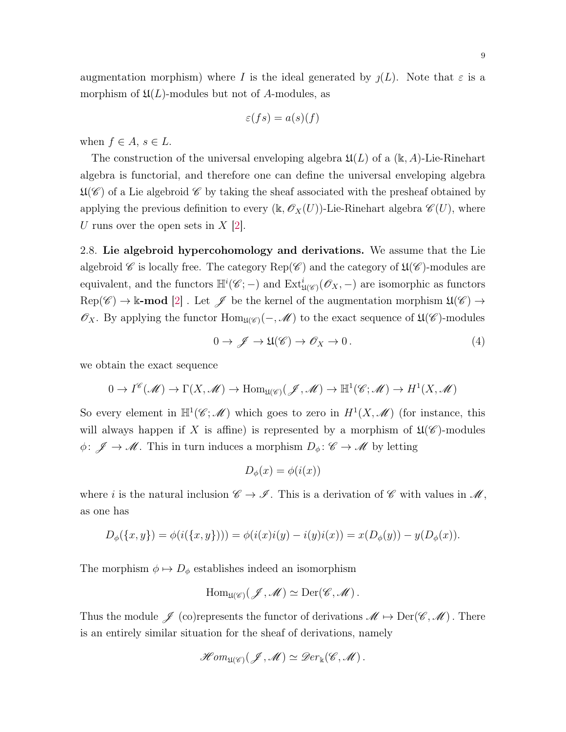$$
\varepsilon(fs) = a(s)(f)
$$

when  $f \in A$ ,  $s \in L$ .

The construction of the universal enveloping algebra  $\mathfrak{U}(L)$  of a (k, A)-Lie-Rinehart algebra is functorial, and therefore one can define the universal enveloping algebra  $\mathfrak{U}(\mathscr{C})$  of a Lie algebroid  $\mathscr{C}$  by taking the sheaf associated with the presheaf obtained by applying the previous definition to every  $(\mathbb{k}, \mathscr{O}_X(U))$ -Lie-Rinehart algebra  $\mathscr{C}(U)$ , where U runs over the open sets in  $X$  |2|.

2.8. Lie algebroid hypercohomology and derivations. We assume that the Lie algebroid  $\mathscr C$  is locally free. The category Rep( $\mathscr C$ ) and the category of  $\mathfrak U(\mathscr C)$ -modules are equivalent, and the functors  $\mathbb{H}^i(\mathscr{C};-)$  and  $\mathrm{Ext}^i_{\mathfrak{U}(\mathscr{C})}(\mathscr{O}_X,-)$  are isomorphic as functors  $Rep(\mathscr{C}) \to \mathbb{k}$ -mod [\[2\]](#page-25-2). Let  $\mathscr{J}$  be the kernel of the augmentation morphism  $\mathfrak{U}(\mathscr{C}) \to$  $\mathscr{O}_X$ . By applying the functor  $\text{Hom}_{\mathfrak{U}(\mathscr{C})}(-,\mathscr{M})$  to the exact sequence of  $\mathfrak{U}(\mathscr{C})$ -modules

<span id="page-8-0"></span>
$$
0 \to \mathscr{J} \to \mathfrak{U}(\mathscr{C}) \to \mathscr{O}_X \to 0. \tag{4}
$$

we obtain the exact sequence

$$
0 \to I^{\mathscr{C}}(\mathscr{M}) \to \Gamma(X, \mathscr{M}) \to \text{Hom}_{\mathfrak{U}(\mathscr{C})}(\mathscr{J}, \mathscr{M}) \to \mathbb{H}^{1}(\mathscr{C}; \mathscr{M}) \to H^{1}(X, \mathscr{M})
$$

So every element in  $\mathbb{H}^1(\mathscr{C};\mathscr{M})$  which goes to zero in  $H^1(X,\mathscr{M})$  (for instance, this will always happen if X is affine) is represented by a morphism of  $\mathfrak{U}(\mathscr{C})$ -modules  $\phi \colon \mathscr{J} \to \mathscr{M}$ . This in turn induces a morphism  $D_{\phi} \colon \mathscr{C} \to \mathscr{M}$  by letting

$$
D_{\phi}(x) = \phi(i(x))
$$

where i is the natural inclusion  $\mathscr{C} \to \mathscr{I}$ . This is a derivation of  $\mathscr{C}$  with values in  $\mathscr{M}$ , as one has

$$
D_{\phi}(\{x, y\}) = \phi(i(\{x, y\}))) = \phi(i(x)i(y) - i(y)i(x)) = x(D_{\phi}(y)) - y(D_{\phi}(x)).
$$

The morphism  $\phi \mapsto D_{\phi}$  establishes indeed an isomorphism

$$
\operatorname{Hom}_{\mathfrak{U}(\mathscr{C})}(\mathscr{J},\mathscr{M})\simeq \operatorname{Der}(\mathscr{C},\mathscr{M}).
$$

Thus the module  $\mathscr{J}$  (co)represents the functor of derivations  $\mathscr{M} \mapsto \mathrm{Der}(\mathscr{C},\mathscr{M})$ . There is an entirely similar situation for the sheaf of derivations, namely

$$
\mathscr{H}om_{\mathfrak{U}(\mathscr{C})}(\mathscr{J},\mathscr{M})\simeq \mathscr{D}er_{\Bbbk}(\mathscr{C},\mathscr{M}).
$$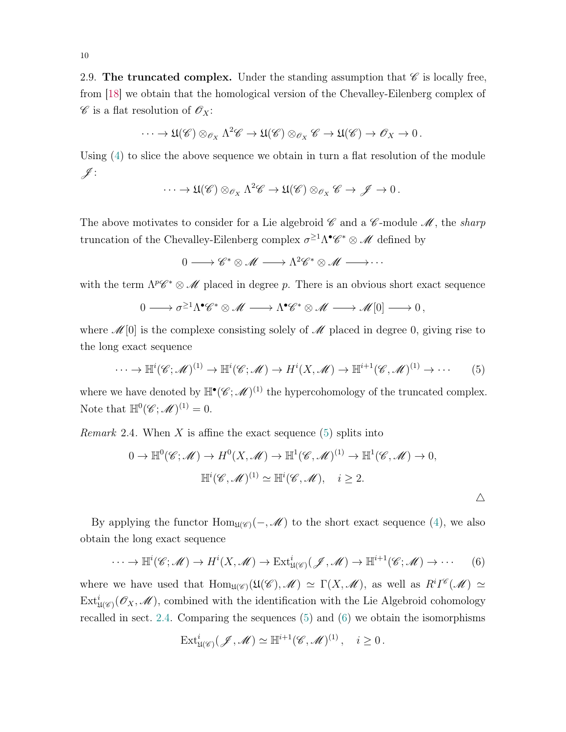<span id="page-9-2"></span>2.9. The truncated complex. Under the standing assumption that  $\mathscr C$  is locally free, from [\[18\]](#page-26-1) we obtain that the homological version of the Chevalley-Eilenberg complex of  $\mathscr{C}$  is a flat resolution of  $\mathscr{O}_X$ :

$$
\cdots \to \mathfrak{U}(\mathscr{C}) \otimes_{\mathscr{O}_X} \Lambda^2 \mathscr{C} \to \mathfrak{U}(\mathscr{C}) \otimes_{\mathscr{O}_X} \mathscr{C} \to \mathfrak{U}(\mathscr{C}) \to \mathscr{O}_X \to 0.
$$

Using [\(4\)](#page-8-0) to slice the above sequence we obtain in turn a flat resolution of the module  $\mathscr{J}$  :

$$
\cdots \to \mathfrak{U}(\mathscr{C}) \otimes_{\mathscr{O}_X} \Lambda^2 \mathscr{C} \to \mathfrak{U}(\mathscr{C}) \otimes_{\mathscr{O}_X} \mathscr{C} \to \mathscr{J} \to 0.
$$

The above motivates to consider for a Lie algebroid  $\mathscr C$  and a  $\mathscr C$ -module  $\mathscr M$ , the sharp truncation of the Chevalley-Eilenberg complex  $\sigma^{\geq 1} \Lambda^{\bullet} \mathscr{C}^* \otimes \mathscr{M}$  defined by

<span id="page-9-0"></span> $0 \longrightarrow \mathscr{C}^* \otimes \mathscr{M} \longrightarrow \Lambda^2 \mathscr{C}^* \otimes \mathscr{M} \longrightarrow \cdots$ 

with the term  $\Lambda^p \mathscr{C}^* \otimes \mathscr{M}$  placed in degree p. There is an obvious short exact sequence

$$
0 \longrightarrow \sigma^{\geq 1} \Lambda^{\bullet} \mathscr{C}^* \otimes \mathscr{M} \longrightarrow \Lambda^{\bullet} \mathscr{C}^* \otimes \mathscr{M} \longrightarrow \mathscr{M}[0] \longrightarrow 0,
$$

where  $\mathcal{M}[0]$  is the complexe consisting solely of  $\mathcal{M}$  placed in degree 0, giving rise to the long exact sequence

$$
\cdots \to \mathbb{H}^i(\mathscr{C};\mathscr{M})^{(1)} \to \mathbb{H}^i(\mathscr{C};\mathscr{M}) \to H^i(X,\mathscr{M}) \to \mathbb{H}^{i+1}(\mathscr{C},\mathscr{M})^{(1)} \to \cdots
$$
 (5)

where we have denoted by  $\mathbb{H}^{\bullet}(\mathscr{C};\mathscr{M})^{(1)}$  the hypercohomology of the truncated complex. Note that  $\mathbb{H}^0(\mathscr{C};\mathscr{M})^{(1)}=0.$ 

*Remark* 2.4. When X is affine the exact sequence  $(5)$  splits into

$$
0 \to \mathbb{H}^0(\mathscr{C}; \mathscr{M}) \to H^0(X, \mathscr{M}) \to \mathbb{H}^1(\mathscr{C}, \mathscr{M})^{(1)} \to \mathbb{H}^1(\mathscr{C}, \mathscr{M}) \to 0,
$$
  

$$
\mathbb{H}^i(\mathscr{C}, \mathscr{M})^{(1)} \simeq \mathbb{H}^i(\mathscr{C}, \mathscr{M}), \quad i \ge 2.
$$

By applying the functor  $\text{Hom}_{\mathfrak{U}(\mathscr{C})}(-,\mathscr{M})$  to the short exact sequence [\(4\)](#page-8-0), we also obtain the long exact sequence

$$
\cdots \to \mathbb{H}^i(\mathscr{C};\mathscr{M}) \to H^i(X,\mathscr{M}) \to \text{Ext}^i_{\mathfrak{U}(\mathscr{C})}(\mathscr{J},\mathscr{M}) \to \mathbb{H}^{i+1}(\mathscr{C};\mathscr{M}) \to \cdots
$$
 (6)

where we have used that  $\text{Hom}_{\mathfrak{U}(\mathscr{C})}(\mathfrak{U}(\mathscr{C}),\mathscr{M}) \simeq \Gamma(X,\mathscr{M}),$  as well as  $R^iI^{\mathscr{C}}(\mathscr{M}) \simeq$  $\mathrm{Ext}^i_{\mathfrak{U}(\mathscr{C})}(\mathscr{O}_X,\mathscr{M})$ , combined with the identification with the Lie Algebroid cohomology recalled in sect. [2.4.](#page-6-0) Comparing the sequences [\(5\)](#page-9-0) and [\(6\)](#page-9-1) we obtain the isomorphisms

<span id="page-9-1"></span>
$$
\text{Ext}^i_{\mathfrak{U}(\mathscr{C})}(\mathscr{J},\mathscr{M}) \simeq \mathbb{H}^{i+1}(\mathscr{C},\mathscr{M})^{(1)}, \quad i \geq 0.
$$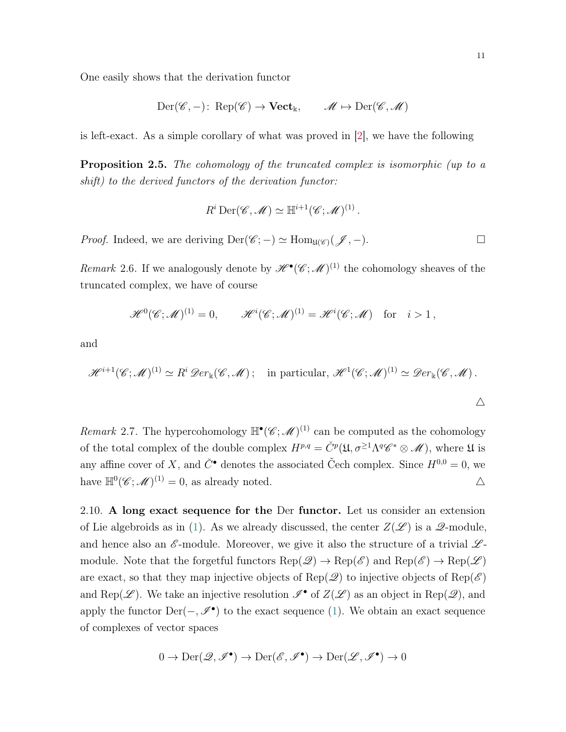One easily shows that the derivation functor

$$
\mathrm{Der}(\mathscr{C},-)\colon \operatorname{Rep}(\mathscr{C})\to \mathbf{Vect}_{\Bbbk},\qquad \mathscr{M}\mapsto \operatorname{Der}(\mathscr{C},\mathscr{M})
$$

is left-exact. As a simple corollary of what was proved in [\[2\]](#page-25-2), we have the following

<span id="page-10-1"></span>Proposition 2.5. The cohomology of the truncated complex is isomorphic (up to a shift) to the derived functors of the derivation functor:

$$
R^i \operatorname{Der}(\mathscr{C},\mathscr{M}) \simeq \mathbb{H}^{i+1}(\mathscr{C};\mathscr{M})^{(1)}.
$$

*Proof.* Indeed, we are deriving  $Der(\mathscr{C};-) \simeq Hom_{\mathfrak{U}(\mathscr{C})}(\mathscr{J},-)$ .

Remark 2.6. If we analogously denote by  $\mathscr{H}^{\bullet}(\mathscr{C};\mathscr{M})^{(1)}$  the cohomology sheaves of the truncated complex, we have of course

$$
\mathscr{H}^0(\mathscr{C};\mathscr{M})^{(1)}=0, \qquad \mathscr{H}^i(\mathscr{C};\mathscr{M})^{(1)}=\mathscr{H}^i(\mathscr{C};\mathscr{M}) \quad \text{for} \quad i>1,
$$

and

$$
\mathscr{H}^{i+1}(\mathscr{C};\mathscr{M})^{(1)} \simeq R^i \mathscr{D}er_{\mathbb{k}}(\mathscr{C},\mathscr{M}); \quad \text{in particular, } \mathscr{H}^1(\mathscr{C};\mathscr{M})^{(1)} \simeq \mathscr{D}er_{\mathbb{k}}(\mathscr{C},\mathscr{M}).
$$
  

$$
\triangle
$$

Remark 2.7. The hypercohomology  $\mathbb{H}^{\bullet}(\mathscr{C};\mathscr{M})^{(1)}$  can be computed as the cohomology of the total complex of the double complex  $H^{p,q} = \check{C}^p(\mathfrak{U}, \sigma^{\geq 1} \Lambda^q \mathscr{C}^* \otimes \mathscr{M})$ , where  $\mathfrak{U}$  is any affine cover of X, and  $\check{C}^{\bullet}$  denotes the associated Čech complex. Since  $H^{0,0} = 0$ , we have  $\mathbb{H}^0(\mathscr{C};\mathscr{M})^{(1)}=0$ , as already noted.  $\triangle$ 

<span id="page-10-0"></span>2.10. A long exact sequence for the Der functor. Let us consider an extension of Lie algebroids as in [\(1\)](#page-1-1). As we already discussed, the center  $Z(\mathscr{L})$  is a  $\mathscr{Q}\text{-module}$ , and hence also an  $\mathscr E$ -module. Moreover, we give it also the structure of a trivial  $\mathscr L$ module. Note that the forgetful functors  $\text{Rep}(\mathscr{Q}) \to \text{Rep}(\mathscr{E})$  and  $\text{Rep}(\mathscr{E}) \to \text{Rep}(\mathscr{L})$ are exact, so that they map injective objects of Rep( $\mathscr{Q}$ ) to injective objects of Rep( $\mathscr{E}$ ) and Rep( $\mathscr{L}$ ). We take an injective resolution  $\mathscr{I}^{\bullet}$  of  $Z(\mathscr{L})$  as an object in Rep( $\mathscr{Q}$ ), and apply the functor  $Der(-, \mathscr{I}^{\bullet})$  to the exact sequence [\(1\)](#page-1-1). We obtain an exact sequence of complexes of vector spaces

$$
0 \to \mathrm{Der}(\mathscr{Q}, \mathscr{I}^{\bullet}) \to \mathrm{Der}(\mathscr{E}, \mathscr{I}^{\bullet}) \to \mathrm{Der}(\mathscr{L}, \mathscr{I}^{\bullet}) \to 0
$$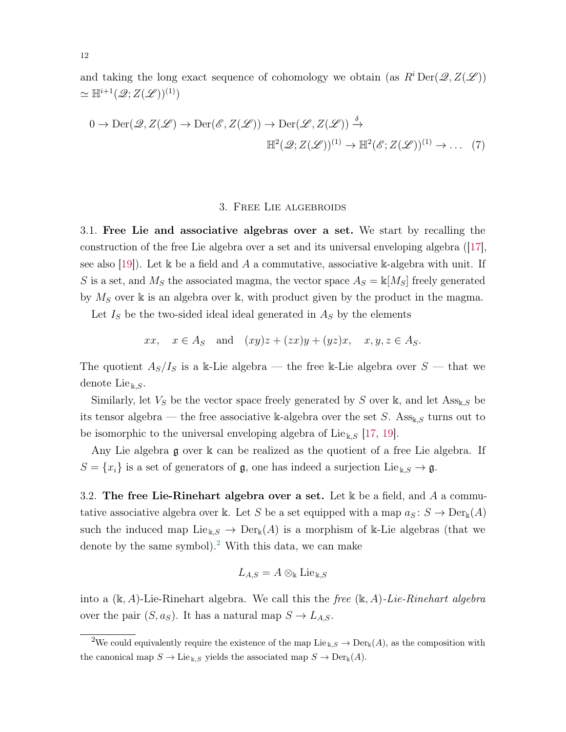and taking the long exact sequence of cohomology we obtain (as  $R^i \text{Der}(\mathscr{Q}, Z(\mathscr{L}))$  $\simeq \mathbb{H}^{i+1}(\mathscr{Q};Z(\mathscr{L}))^{(1)})$ 

$$
0 \to \text{Der}(\mathcal{Q}, Z(\mathcal{L}) \to \text{Der}(\mathcal{E}, Z(\mathcal{L})) \to \text{Der}(\mathcal{L}, Z(\mathcal{L})) \xrightarrow{\delta} \mathbb{H}^2(\mathcal{Q}; Z(\mathcal{L}))^{(1)} \to \mathbb{H}^2(\mathcal{E}; Z(\mathcal{L}))^{(1)} \to \dots (7)
$$

#### <span id="page-11-3"></span>3. Free Lie algebroids

<span id="page-11-0"></span>3.1. Free Lie and associative algebras over a set. We start by recalling the construction of the free Lie algebra over a set and its universal enveloping algebra ([\[17\]](#page-26-6), see also [\[19\]](#page-26-7)). Let k be a field and A a commutative, associative k-algebra with unit. If S is a set, and  $M<sub>S</sub>$  the associated magma, the vector space  $A<sub>S</sub> = \mathbb{k}[M<sub>S</sub>]$  freely generated by  $M<sub>S</sub>$  over k is an algebra over k, with product given by the product in the magma.

Let  $I<sub>S</sub>$  be the two-sided ideal ideal generated in  $A<sub>S</sub>$  by the elements

$$
xx, \quad x \in A_S \quad \text{and} \quad (xy)z + (zx)y + (yz)x, \quad x, y, z \in A_S.
$$

The quotient  $A_S/I_S$  is a k-Lie algebra — the free k-Lie algebra over  $S$  — that we denote Lie<sub>k,S</sub>.

Similarly, let  $V_S$  be the vector space freely generated by S over k, and let  $\mathrm{Ass}_{k,S}$  be its tensor algebra — the free associative k-algebra over the set S. Ass<sub>k,S</sub> turns out to be isomorphic to the universal enveloping algebra of Lie<sub>k,S</sub> [\[17,](#page-26-6) [19\]](#page-26-7).

Any Lie algebra g over k can be realized as the quotient of a free Lie algebra. If  $S = \{x_i\}$  is a set of generators of  $\mathfrak{g}$ , one has indeed a surjection Lie<sub>k,S</sub>  $\rightarrow \mathfrak{g}$ .

<span id="page-11-2"></span>3.2. The free Lie-Rinehart algebra over a set. Let k be a field, and A a commutative associative algebra over k. Let S be a set equipped with a map  $a_S : S \to Der_k(A)$ such the induced map  $\text{Lie}_{\Bbbk S} \to \text{Der}_{\Bbbk}(A)$  is a morphism of k-Lie algebras (that we denote by the same symbol).<sup>[2](#page-11-1)</sup> With this data, we can make

$$
L_{A,S} = A \otimes_{\Bbbk} \mathrm{Lie}_{\Bbbk,S}
$$

into a  $(\mathbb{k}, A)$ -Lie-Rinehart algebra. We call this the free  $(\mathbb{k}, A)$ -Lie-Rinehart algebra over the pair  $(S, a_S)$ . It has a natural map  $S \to L_{A,S}$ .

<span id="page-11-1"></span><sup>&</sup>lt;sup>2</sup>We could equivalently require the existence of the map Lie <sub>k,S</sub>  $\rightarrow$  Der<sub>k</sub>(A), as the composition with the canonical map  $S \to \text{Lie}_{\mathbb{k},S}$  yields the associated map  $S \to \text{Der}_{\mathbb{k}}(A)$ .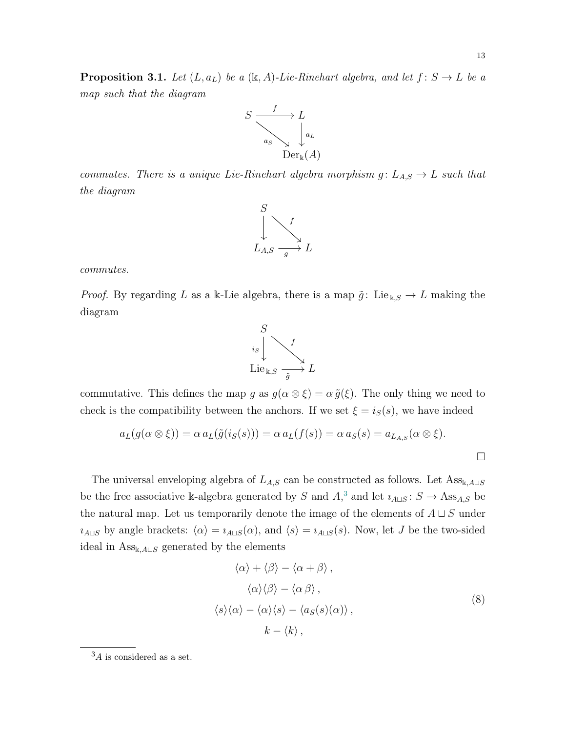<span id="page-12-1"></span>**Proposition 3.1.** Let  $(L, a_L)$  be a  $(\mathbb{k}, A)$ -Lie-Rinehart algebra, and let  $f : S \to L$  be a map such that the diagram



commutes. There is a unique Lie-Rinehart algebra morphism  $g: L_{A,S} \to L$  such that the diagram



commutes.

*Proof.* By regarding L as a k-Lie algebra, there is a map  $\tilde{g}$ : Lie<sub>k,S</sub>  $\rightarrow$  L making the diagram



commutative. This defines the map g as  $g(\alpha \otimes \xi) = \alpha \tilde{g}(\xi)$ . The only thing we need to check is the compatibility between the anchors. If we set  $\xi = i_S(s)$ , we have indeed

$$
a_L(g(\alpha \otimes \xi)) = \alpha \, a_L(\tilde{g}(i_S(s))) = \alpha \, a_L(f(s)) = \alpha \, a_S(s) = a_{L_{A,S}}(\alpha \otimes \xi).
$$

The universal enveloping algebra of  $L_{A,S}$  can be constructed as follows. Let  $\text{Ass}_{\mathbb{k},A\sqcup S}$ be the free associative k-algebra generated by S and  $A$ <sup>[3](#page-12-0)</sup>, and let  $i_{A\sqcup S}$ :  $S \to \text{Ass}_{A,S}$  be the natural map. Let us temporarily denote the image of the elements of  $A \sqcup S$  under  $i_{A\sqcup S}$  by angle brackets:  $\langle \alpha \rangle = i_{A\sqcup S}(\alpha)$ , and  $\langle s \rangle = i_{A\sqcup S}(s)$ . Now, let J be the two-sided ideal in  $\mathrm{Ass}_{\mathbb{k},A\sqcup S}$  generated by the elements

<span id="page-12-2"></span>
$$
\langle \alpha \rangle + \langle \beta \rangle - \langle \alpha + \beta \rangle ,
$$
  

$$
\langle \alpha \rangle \langle \beta \rangle - \langle \alpha \beta \rangle ,
$$
  

$$
\langle s \rangle \langle \alpha \rangle - \langle \alpha \rangle \langle s \rangle - \langle a_S(s)(\alpha) \rangle ,
$$
  

$$
k - \langle k \rangle ,
$$
 (8)

<span id="page-12-0"></span> ${}^{3}A$  is considered as a set.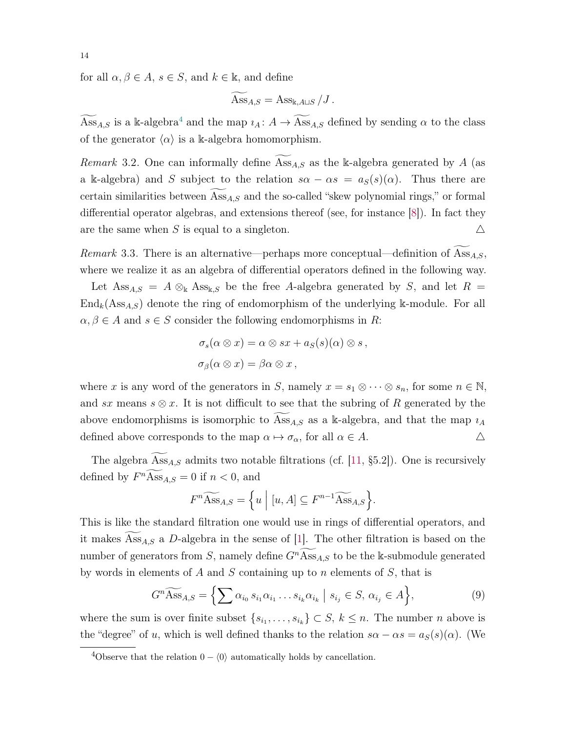for all  $\alpha, \beta \in A$ ,  $s \in S$ , and  $k \in \mathbb{k}$ , and define

$$
\widetilde{\mathrm{Ass}_{A,S}} = \mathrm{Ass}_{\Bbbk,A\sqcup S}/J.
$$

 $\widetilde{Ass}_{A,S}$  is a k-algebra<sup>[4](#page-13-0)</sup> and the map  $i_A: A \to \widetilde{Ass}_{A,S}$  defined by sending  $\alpha$  to the class of the generator  $\langle \alpha \rangle$  is a k-algebra homomorphism.

*Remark* 3.2. One can informally define  $\text{Ass}_{A,S}$  as the k-algebra generated by A (as a k-algebra) and S subject to the relation  $s\alpha - \alpha s = a_S(s)(\alpha)$ . Thus there are certain similarities between  $\mathrm{Ass}_{AS}$  and the so-called "skew polynomial rings," or formal differential operator algebras, and extensions thereof (see, for instance [\[8\]](#page-26-8)). In fact they are the same when S is equal to a singleton.  $\triangle$ 

Remark 3.3. There is an alternative—perhaps more conceptual—definition of  $\overline{Ass}_{A,S}$ , where we realize it as an algebra of differential operators defined in the following way.

Let  $\text{Ass}_{A,S} = A \otimes_{\Bbbk} \text{Ass}_{\Bbbk,S}$  be the free A-algebra generated by S, and let  $R =$  $\text{End}_k(\text{Ass}_{A,S})$  denote the ring of endomorphism of the underlying k-module. For all  $\alpha, \beta \in A$  and  $s \in S$  consider the following endomorphisms in R:

$$
\sigma_s(\alpha \otimes x) = \alpha \otimes sx + a_S(s)(\alpha) \otimes s,
$$
  

$$
\sigma_\beta(\alpha \otimes x) = \beta \alpha \otimes x,
$$

where x is any word of the generators in S, namely  $x = s_1 \otimes \cdots \otimes s_n$ , for some  $n \in \mathbb{N}$ , and sx means  $s \otimes x$ . It is not difficult to see that the subring of R generated by the above endomorphisms is isomorphic to  $\text{Ass}_{A,S}$  as a k-algebra, and that the map  $i_A$ defined above corresponds to the map  $\alpha \mapsto \sigma_{\alpha}$ , for all  $\alpha \in A$ .  $\triangle$ 

The algebra  $\text{Ass}_{A,S}$  admits two notable filtrations (cf. [\[11,](#page-26-9) §5.2]). One is recursively defined by  $F^n$ Ass<sub>A,S</sub> = 0 if  $n < 0$ , and

<span id="page-13-1"></span>
$$
F^{n}\widetilde{\mathrm{Ass}}_{A,S} = \left\{ u \mid [u, A] \subseteq F^{n-1}\widetilde{\mathrm{Ass}}_{A,S} \right\}.
$$

This is like the standard filtration one would use in rings of differential operators, and it makes  $\text{Ass}_{A,S}$  a D-algebra in the sense of [\[1\]](#page-25-4). The other filtration is based on the number of generators from S, namely define  $G<sup>n</sup>$ Ass<sub>A,S</sub> to be the k-submodule generated by words in elements of A and S containing up to n elements of  $S$ , that is

$$
G^{n}\widetilde{ {\mathrm { Ass } } }_{A,S} = \left\{ \sum \alpha_{i_0} s_{i_1} \alpha_{i_1} \dots s_{i_k} \alpha_{i_k} \mid s_{i_j} \in S, \, \alpha_{i_j} \in A \right\},\tag{9}
$$

where the sum is over finite subset  $\{s_{i_1}, \ldots, s_{i_k}\} \subset S, k \leq n$ . The number *n* above is the "degree" of u, which is well defined thanks to the relation  $s\alpha - \alpha s = a_S(s)(\alpha)$ . (We

<span id="page-13-0"></span><sup>&</sup>lt;sup>4</sup>Observe that the relation  $0 - \langle 0 \rangle$  automatically holds by cancellation.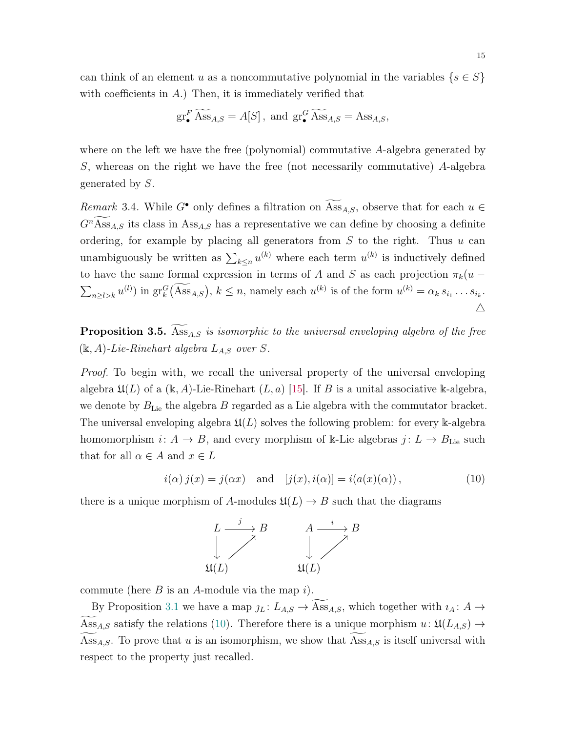can think of an element u as a noncommutative polynomial in the variables  $\{s \in S\}$ with coefficients in  $A$ .) Then, it is immediately verified that

$$
\operatorname{gr}_{\bullet}^F \widetilde{Ass}_{A,S} = A[S], \text{ and } \operatorname{gr}_{\bullet}^G \widetilde{Ass}_{A,S} = Ass_{A,S},
$$

where on the left we have the free (polynomial) commutative A-algebra generated by S, whereas on the right we have the free (not necessarily commutative) A-algebra generated by S.

<span id="page-14-1"></span>Remark 3.4. While  $G^{\bullet}$  only defines a filtration on  $\widetilde{Ass}_{A,S}$ , observe that for each  $u \in$  $G<sup>n</sup>$ Ass<sub>A,S</sub> its class in Ass<sub>A,S</sub> has a representative we can define by choosing a definite ordering, for example by placing all generators from  $S$  to the right. Thus  $u$  can unambiguously be written as  $\sum_{k \leq n} u^{(k)}$  where each term  $u^{(k)}$  is inductively defined to have the same formal expression in terms of A and S as each projection  $\pi_k(u \sum_{n\geq l>k} u^{(l)}$  in  $gr_k^G(\overline{Ass}_{A,S}), k\leq n$ , namely each  $u^{(k)}$  is of the form  $u^{(k)} = \alpha_k s_{i_1} \dots s_{i_k}$ .  $\triangle$ 

**Proposition 3.5.** Ass<sub>A,S</sub> is isomorphic to the universal enveloping algebra of the free  $(\mathbb{k}, A)$ -Lie-Rinehart algebra  $L_{A,S}$  over S.

Proof. To begin with, we recall the universal property of the universal enveloping algebra  $\mathfrak{U}(L)$  of a (k, A)-Lie-Rinehart  $(L, a)$  [\[15\]](#page-26-10). If B is a unital associative k-algebra, we denote by  $B_{\text{Lie}}$  the algebra B regarded as a Lie algebra with the commutator bracket. The universal enveloping algebra  $\mathfrak{U}(L)$  solves the following problem: for every k-algebra homomorphism  $i: A \to B$ , and every morphism of k-Lie algebras  $j: L \to B$ <sub>Lie</sub> such that for all  $\alpha \in A$  and  $x \in L$ 

$$
i(\alpha) j(x) = j(\alpha x) \quad \text{and} \quad [j(x), i(\alpha)] = i(a(x)(\alpha)), \tag{10}
$$

there is a unique morphism of A-modules  $\mathfrak{U}(L) \to B$  such that the diagrams

<span id="page-14-0"></span>

commute (here  $B$  is an A-module via the map i).

By Proposition [3.1](#page-12-1) we have a map  $j_L : L_{A,S} \to \text{Ass}_{A,S}$ , which together with  $i_A : A \to$ Ass<sub>A,S</sub> satisfy the relations [\(10\)](#page-14-0). Therefore there is a unique morphism  $u: \mathfrak{U}(L_{A,S}) \rightarrow$ Ass<sub>A,S</sub>. To prove that u is an isomorphism, we show that  $\text{Ass}_{A,S}$  is itself universal with respect to the property just recalled.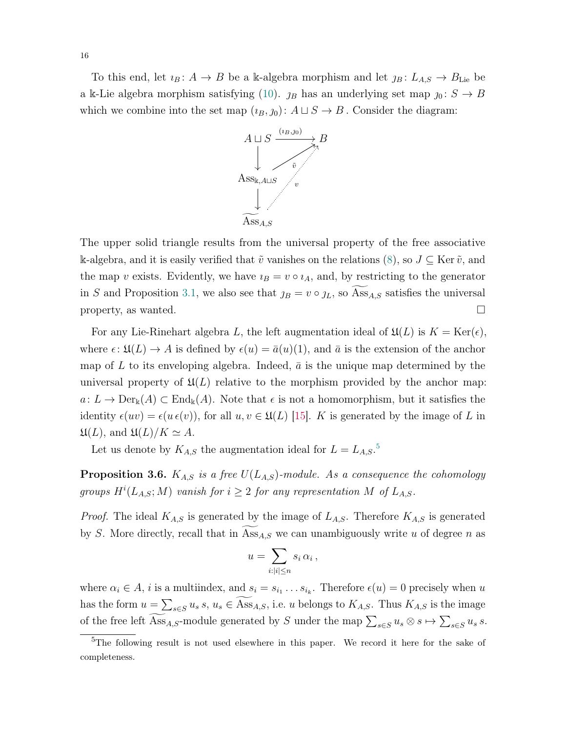To this end, let  $i_B : A \to B$  be a k-algebra morphism and let  $j_B : L_{A,S} \to B_{\text{Lie}}$  be a k-Lie algebra morphism satisfying [\(10\)](#page-14-0).  $j_B$  has an underlying set map  $j_0 : S \to B$ which we combine into the set map  $(i_B, j_0): A \sqcup S \rightarrow B$ . Consider the diagram:



The upper solid triangle results from the universal property of the free associative k-algebra, and it is easily verified that  $\tilde{v}$  vanishes on the relations [\(8\)](#page-12-2), so  $J \subseteq \text{Ker } \tilde{v}$ , and the map v exists. Evidently, we have  $i_B = v \circ i_A$ , and, by restricting to the generator in S and Proposition [3.1,](#page-12-1) we also see that  $j_B = v \circ j_L$ , so Ass<sub>A,S</sub> satisfies the universal property, as wanted.  $\square$ 

For any Lie-Rinehart algebra L, the left augmentation ideal of  $\mathfrak{U}(L)$  is  $K = \text{Ker}(\epsilon)$ , where  $\epsilon: \mathfrak{U}(L) \to A$  is defined by  $\epsilon(u) = \bar{a}(u)(1)$ , and  $\bar{a}$  is the extension of the anchor map of L to its enveloping algebra. Indeed,  $\bar{a}$  is the unique map determined by the universal property of  $\mathfrak{U}(L)$  relative to the morphism provided by the anchor map:  $a: L \to \text{Der}_{\mathbb{k}}(A) \subset \text{End}_{\mathbb{k}}(A)$ . Note that  $\epsilon$  is not a homomorphism, but it satisfies the identity  $\epsilon(uv) = \epsilon(u \epsilon(v))$ , for all  $u, v \in \mathfrak{U}(L)$  [\[15\]](#page-26-10). K is generated by the image of L in  $\mathfrak{U}(L)$ , and  $\mathfrak{U}(L)/K \simeq A$ .

Let us denote by  $K_{A,S}$  the augmentation ideal for  $L = L_{A,S}$ .<sup>[5](#page-15-0)</sup>

**Proposition 3.6.**  $K_{A,S}$  is a free  $U(L_{A,S})$ -module. As a consequence the cohomology groups  $H^{i}(L_{A,S};M)$  vanish for  $i \geq 2$  for any representation M of  $L_{A,S}$ .

*Proof.* The ideal  $K_{A,S}$  is generated by the image of  $L_{A,S}$ . Therefore  $K_{A,S}$  is generated by S. More directly, recall that in  $\mathrm{Ass}_{A,S}$  we can unambiguously write u of degree n as

$$
u = \sum_{i:|i|\leq n} s_i \, \alpha_i \,,
$$

where  $\alpha_i \in A$ , *i* is a multiindex, and  $s_i = s_{i_1} \dots s_{i_k}$ . Therefore  $\epsilon(u) = 0$  precisely when u has the form  $u = \sum_{s \in S} u_s s$ ,  $u_s \in \text{Ass}_{A,S}$ , i.e. u belongs to  $K_{A,S}$ . Thus  $K_{A,S}$  is the image of the free left  $\text{Ass}_{A,S}$ -module generated by S under the map  $\sum_{s\in S} u_s \otimes s \mapsto \sum_{s\in S} u_s s$ .

<span id="page-15-0"></span><sup>&</sup>lt;sup>5</sup>The following result is not used elsewhere in this paper. We record it here for the sake of completeness.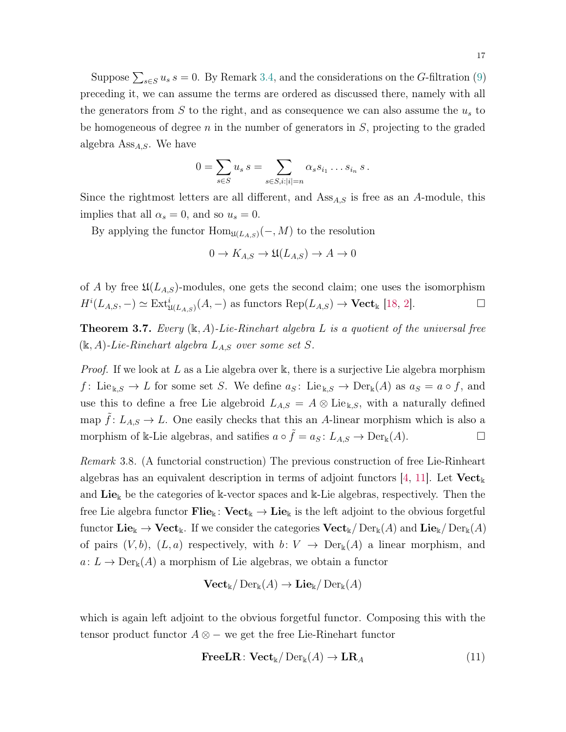Suppose  $\sum_{s \in S} u_s s = 0$ . By Remark [3.4,](#page-14-1) and the considerations on the G-filtration [\(9\)](#page-13-1) preceding it, we can assume the terms are ordered as discussed there, namely with all the generators from  $S$  to the right, and as consequence we can also assume the  $u<sub>s</sub>$  to be homogeneous of degree  $n$  in the number of generators in  $S$ , projecting to the graded algebra  $\mathrm{Ass}_{A,S}$ . We have

$$
0 = \sum_{s \in S} u_s s = \sum_{s \in S, i:|i|=n} \alpha_s s_{i_1} \dots s_{i_n} s.
$$

Since the rightmost letters are all different, and  $\mathrm{Ass}_{A,S}$  is free as an A-module, this implies that all  $\alpha_s = 0$ , and so  $u_s = 0$ .

By applying the functor  $\text{Hom}_{\mathfrak{U}(L_{A,S})}(-, M)$  to the resolution

$$
0 \to K_{A,S} \to \mathfrak{U}(L_{A,S}) \to A \to 0
$$

of A by free  $\mathfrak{U}(L_{A,S})$ -modules, one gets the second claim; one uses the isomorphism  $H^i(L_{A,S}, -) \simeq \text{Ext}^i_{\mathfrak{U}(L_{A,S})}(A, -)$  as functors  $\text{Rep}(L_{A,S}) \to \text{Vect}_{\mathbb{k}}$  [\[18,](#page-26-1) [2\]](#page-25-2).

<span id="page-16-1"></span>**Theorem 3.7.** Every  $(\mathbf{k}, A)$ -Lie-Rinehart algebra L is a quotient of the universal free  $(k, A)$ -Lie-Rinehart algebra  $L_{A,S}$  over some set S.

*Proof.* If we look at L as a Lie algebra over k, there is a surjective Lie algebra morphism f: Lie<sub>k,S</sub>  $\rightarrow$  L for some set S. We define  $a_S$ : Lie<sub>k,S</sub>  $\rightarrow$  Der<sub>k</sub>(A) as  $a_S = a \circ f$ , and use this to define a free Lie algebroid  $L_{A,S} = A \otimes \text{Lie}_{k,S}$ , with a naturally defined map  $f: L_{A,S} \to L$ . One easily checks that this an A-linear morphism which is also a morphism of k-Lie algebras, and satifies  $a \circ \tilde{f} = a_S : L_{A,S} \to \text{Der}_{\mathbb{k}}(A)$ .

<span id="page-16-2"></span>Remark 3.8. (A functorial construction) The previous construction of free Lie-Rinheart algebras has an equivalent description in terms of adjoint functors [\[4,](#page-25-5) [11\]](#page-26-9). Let  $\mathbf{Vect}_{\mathbf{k}}$ and  $\text{Lie}_k$  be the categories of k-vector spaces and k-Lie algebras, respectively. Then the free Lie algebra functor  $\text{File}_{\Bbbk} : \text{Vect}_{\Bbbk} \to \text{Lie}_{\Bbbk}$  is the left adjoint to the obvious forgetful functor  $\mathbf{Lie}_{\mathbb{k}} \to \mathbf{Vect}_{\mathbb{k}}$ . If we consider the categories  $\mathbf{Vect}_{\mathbb{k}}/ \mathrm{Der}_{\mathbb{k}}(A)$  and  $\mathbf{Lie}_{\mathbb{k}}/ \mathrm{Der}_{\mathbb{k}}(A)$ of pairs  $(V, b)$ ,  $(L, a)$  respectively, with  $b: V \to \text{Der}_{k}(A)$  a linear morphism, and  $a: L \to Der_{\mathbb{k}}(A)$  a morphism of Lie algebras, we obtain a functor

$$
\mathbf{Vect}_{\mathbb{k}}/\operatorname{Der}_{\mathbb{k}}(A) \to \mathbf{Lie}_{\mathbb{k}}/\operatorname{Der}_{\mathbb{k}}(A)
$$

which is again left adjoint to the obvious forgetful functor. Composing this with the tensor product functor  $A \otimes -$  we get the free Lie-Rinehart functor

<span id="page-16-0"></span>
$$
\textbf{FreeLR}: \textbf{Vect}_{\mathbb{k}}/\operatorname{Der}_{\mathbb{k}}(A) \to \textbf{LR}_A \tag{11}
$$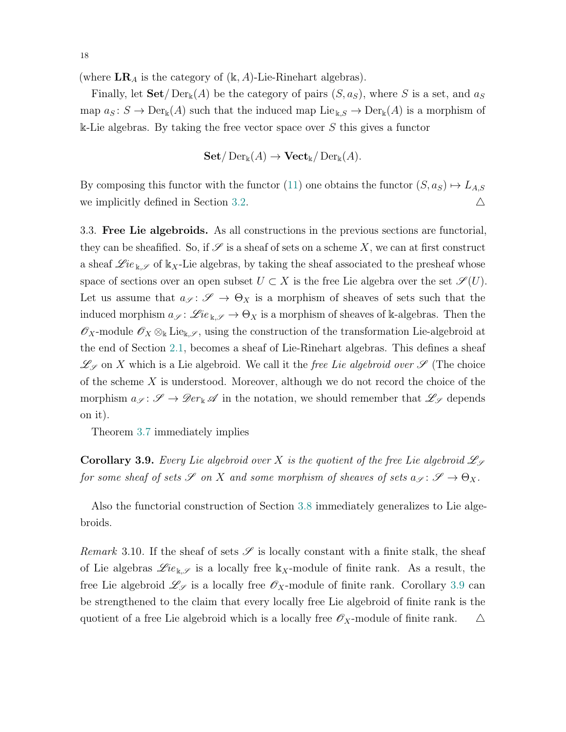(where  $LR_A$  is the category of  $(k, A)$ -Lie-Rinehart algebras).

Finally, let  $\text{Set}/\text{Der}_{k}(A)$  be the category of pairs  $(S, a_S)$ , where S is a set, and  $a_S$ map  $a_S : S \to \text{Der}_{\mathbb{k}}(A)$  such that the induced map  $\text{Lie}_{\mathbb{k},S} \to \text{Der}_{\mathbb{k}}(A)$  is a morphism of  $\&$ -Lie algebras. By taking the free vector space over S this gives a functor

$$
\mathbf{Set}/\operatorname{Der}_{\Bbbk}(A) \to \mathbf{Vect}_{\Bbbk}/\operatorname{Der}_{\Bbbk}(A).
$$

By composing this functor with the functor [\(11\)](#page-16-0) one obtains the functor  $(S, a_S) \mapsto L_{A,S}$ we implicitly defined in Section [3.2.](#page-11-2)  $\triangle$ 

3.3. Free Lie algebroids. As all constructions in the previous sections are functorial, they can be sheafified. So, if  $\mathscr S$  is a sheaf of sets on a scheme X, we can at first construct a sheaf  $\mathscr{L}ie_{\mathbf{k},\mathscr{S}}$  of  $\mathbf{k}_X$ -Lie algebras, by taking the sheaf associated to the presheaf whose space of sections over an open subset  $U \subset X$  is the free Lie algebra over the set  $\mathscr{S}(U)$ . Let us assume that  $a_{\mathscr{S}}: \mathscr{S} \to \Theta_X$  is a morphism of sheaves of sets such that the induced morphism  $a_{\mathscr{S}}: \mathscr{L}ie_{\mathbb{k},\mathscr{S}} \to \Theta_X$  is a morphism of sheaves of k-algebras. Then the  $\mathscr{O}_X$ -module  $\mathscr{O}_X \otimes_{\Bbbk} \mathrm{Lie}_{\Bbbk, \mathscr{S}}$ , using the construction of the transformation Lie-algebroid at the end of Section [2.1,](#page-3-1) becomes a sheaf of Lie-Rinehart algebras. This defines a sheaf  $\mathscr{L}_{\mathscr{S}}$  on X which is a Lie algebroid. We call it the free Lie algebroid over  $\mathscr{S}$  (The choice of the scheme  $X$  is understood. Moreover, although we do not record the choice of the morphism  $a_{\mathscr{S}}\colon\mathscr{S}\to\mathscr{D}er_{\mathbb{k}}\mathscr{A}$  in the notation, we should remember that  $\mathscr{L}_{\mathscr{S}}$  depends on it).

Theorem [3.7](#page-16-1) immediately implies

<span id="page-17-0"></span>**Corollary 3.9.** Every Lie algebroid over X is the quotient of the free Lie algebroid  $\mathcal{L}_{\mathcal{S}}$ for some sheaf of sets  $\mathscr S$  on X and some morphism of sheaves of sets  $a_{\mathscr S} \colon {\mathscr S} \to \Theta_X$ .

Also the functorial construction of Section [3.8](#page-16-2) immediately generalizes to Lie algebroids.

Remark 3.10. If the sheaf of sets  $\mathscr S$  is locally constant with a finite stalk, the sheaf of Lie algebras  $\mathscr{L}ie_{\mathbf{k},\mathscr{S}}$  is a locally free  $\mathbf{k}_X$ -module of finite rank. As a result, the free Lie algebroid  $\mathscr{L}_{\mathscr{S}}$  is a locally free  $\mathscr{O}_X$ -module of finite rank. Corollary [3.9](#page-17-0) can be strengthened to the claim that every locally free Lie algebroid of finite rank is the quotient of a free Lie algebroid which is a locally free  $\mathscr{O}_X$ -module of finite rank.  $\Delta$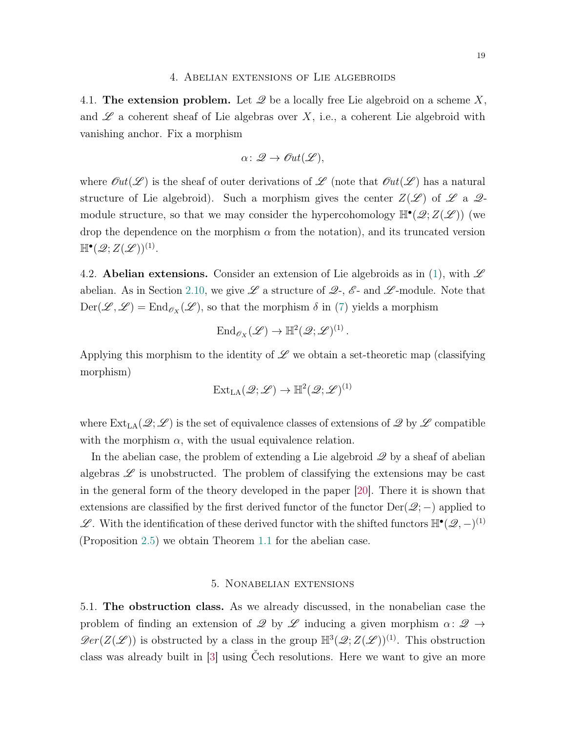#### 4. Abelian extensions of Lie algebroids

<span id="page-18-0"></span>4.1. The extension problem. Let  $\mathscr Q$  be a locally free Lie algebroid on a scheme  $X$ , and  $\mathscr L$  a coherent sheaf of Lie algebras over X, i.e., a coherent Lie algebroid with vanishing anchor. Fix a morphism

$$
\alpha\colon \mathscr{Q}\to \mathscr{O}\!\mathit{ut}(\mathscr{L}),
$$

where  $\mathcal{O}ut(\mathcal{L})$  is the sheaf of outer derivations of  $\mathcal{L}$  (note that  $\mathcal{O}ut(\mathcal{L})$ ) has a natural structure of Lie algebroid). Such a morphism gives the center  $Z(\mathscr{L})$  of  $\mathscr{L}$  a  $\mathscr{Q}$ module structure, so that we may consider the hypercohomology  $\mathbb{H}^{\bullet}(\mathscr{Q};Z(\mathscr{L}))$  (we drop the dependence on the morphism  $\alpha$  from the notation), and its truncated version  $\mathbb{H}^{\bullet}(\mathscr{Q};Z(\mathscr{L}))^{(1)}.$ 

4.2. Abelian extensions. Consider an extension of Lie algebroids as in [\(1\)](#page-1-1), with  $\mathscr L$ abelian. As in Section [2.10,](#page-10-0) we give  $\mathscr L$  a structure of  $\mathscr Q$ -,  $\mathscr E$ - and  $\mathscr L$ -module. Note that  $Der(\mathscr{L}, \mathscr{L}) = End_{\mathscr{O}_X}(\mathscr{L}),$  so that the morphism  $\delta$  in [\(7\)](#page-11-3) yields a morphism

$$
\text{End}_{\mathscr{O}_X}(\mathscr{L}) \to \mathbb{H}^2(\mathscr{Q};\mathscr{L})^{(1)}.
$$

Applying this morphism to the identity of  $\mathscr L$  we obtain a set-theoretic map (classifying morphism)

$$
\operatorname{Ext}_{\operatorname{LA}}(\mathscr{Q};\mathscr{L}) \to \mathbb{H}^2(\mathscr{Q};\mathscr{L})^{(1)}
$$

where  $\text{Ext}_{\text{LA}}(\mathcal{Q}; \mathcal{L})$  is the set of equivalence classes of extensions of  $\mathcal{Q}$  by  $\mathcal{L}$  compatible with the morphism  $\alpha$ , with the usual equivalence relation.

In the abelian case, the problem of extending a Lie algebroid  $\mathscr Q$  by a sheaf of abelian algebras  $\mathscr L$  is unobstructed. The problem of classifying the extensions may be cast in the general form of the theory developed in the paper [\[20\]](#page-26-0). There it is shown that extensions are classified by the first derived functor of the functor  $Der(\mathscr{Q};-)$  applied to L With the identification of these derived functor with the shifted functors  $\mathbb{H}^{\bullet}(\mathscr{Q}, -)^{(1)}$ (Proposition [2.5\)](#page-10-1) we obtain Theorem [1.1](#page-2-0) for the abelian case.

# 5. Nonabelian extensions

<span id="page-18-1"></span>5.1. The obstruction class. As we already discussed, in the nonabelian case the problem of finding an extension of  $\mathscr Q$  by  $\mathscr L$  inducing a given morphism  $\alpha: \mathscr Q \to$  $\mathcal{D}er(Z(\mathcal{L}))$  is obstructed by a class in the group  $\mathbb{H}^3(\mathcal{Q};Z(\mathcal{L}))^{(1)}$ . This obstruction class was already built in [\[3\]](#page-25-1) using Čech resolutions. Here we want to give an more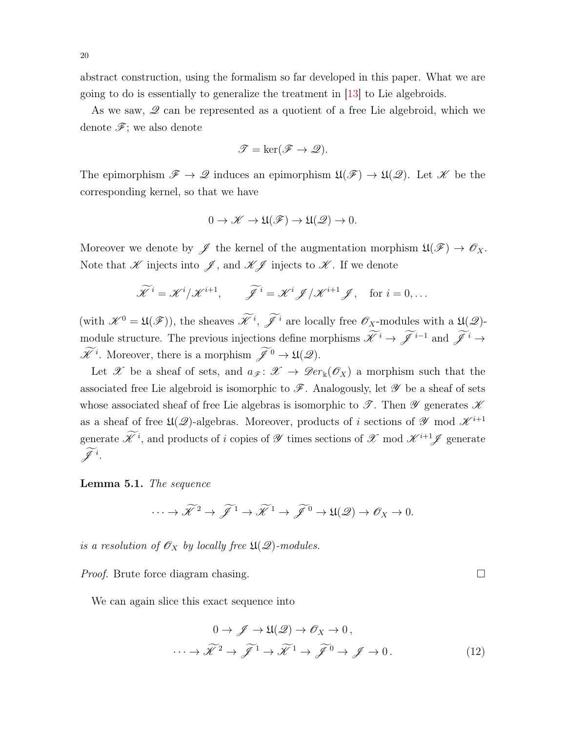abstract construction, using the formalism so far developed in this paper. What we are going to do is essentially to generalize the treatment in [\[13\]](#page-26-11) to Lie algebroids.

As we saw,  $\mathscr Q$  can be represented as a quotient of a free Lie algebroid, which we denote  $\mathscr{F}$ ; we also denote

$$
\mathcal{T} = \ker(\mathcal{F} \to \mathcal{Q}).
$$

The epimorphism  $\mathscr{F} \to \mathscr{Q}$  induces an epimorphism  $\mathfrak{U}(\mathscr{F}) \to \mathfrak{U}(\mathscr{Q})$ . Let  $\mathscr{K}$  be the corresponding kernel, so that we have

$$
0 \to \mathscr{K} \to \mathfrak{U}(\mathscr{F}) \to \mathfrak{U}(\mathscr{Q}) \to 0.
$$

Moreover we denote by  $\mathscr{J}$  the kernel of the augmentation morphism  $\mathfrak{U}(\mathscr{F}) \to \mathscr{O}_X$ . Note that  $\mathscr K$  injects into  $\mathscr J$ , and  $\mathscr K\mathscr J$  injects to  $\mathscr K$ . If we denote

$$
\widetilde{\mathscr{K}}^i = \mathscr{K}^i / \mathscr{K}^{i+1}, \qquad \widetilde{\mathscr{J}}^i = \mathscr{K}^i \mathscr{J} / \mathscr{K}^{i+1} \mathscr{J}, \quad \text{for } i = 0, \dots
$$

(with  $\mathscr{K}^0 = \mathfrak{U}(\mathscr{F})$ ), the sheaves  $\mathscr{K}^i$ ,  $\mathscr{J}^i$  are locally free  $\mathscr{O}_X$ -modules with a  $\mathfrak{U}(\mathscr{Q})$ module structure. The previous injections define morphisms  $\widetilde{\mathscr{K}}^i \to \widetilde{\mathscr{J}}^{i-1}$  and  $\widetilde{\mathscr{J}}^i \to$  $\mathscr{K}^i$ . Moreover, there is a morphism  $\mathscr{J}^0 \to \mathfrak{U}(\mathscr{Q})$ .

Let X be a sheaf of sets, and  $a_{\mathscr{F}}: \mathscr{X} \to \mathscr{D}er_{\mathbb{K}}(\mathscr{O}_X)$  a morphism such that the associated free Lie algebroid is isomorphic to  $\mathscr F$ . Analogously, let  $\mathscr Y$  be a sheaf of sets whose associated sheaf of free Lie algebras is isomorphic to  $\mathscr{T}$ . Then  $\mathscr{Y}$  generates  $\mathscr{K}$ as a sheaf of free  $\mathfrak{U}(\mathscr{Q})$ -algebras. Moreover, products of i sections of  $\mathscr{Y}$  mod  $\mathscr{K}^{i+1}$ generate  $\mathscr{K}^i$ , and products of i copies of  $\mathscr{Y}$  times sections of  $\mathscr{X}$  mod  $\mathscr{K}^{i+1}\mathscr{J}$  generate  $\mathscr{J}$ <sup>i</sup>.

Lemma 5.1. The sequence

$$
\cdots \to \widetilde{\mathscr{K}}^2 \to \widetilde{\mathscr{J}}^1 \to \widetilde{\mathscr{K}}^1 \to \widetilde{\mathscr{J}}^0 \to \mathfrak{U}(\mathscr{Q}) \to \mathscr{O}_X \to 0.
$$

is a resolution of  $\mathscr{O}_X$  by locally free  $\mathfrak{U}(\mathscr{Q})$ -modules.

*Proof.* Brute force diagram chasing. □

We can again slice this exact sequence into

$$
0 \to \mathcal{J} \to \mathfrak{U}(\mathcal{Q}) \to \mathcal{O}_X \to 0,
$$
  

$$
\cdots \to \widetilde{\mathcal{K}}^2 \to \widetilde{\mathcal{J}}^1 \to \widetilde{\mathcal{K}}^1 \to \widetilde{\mathcal{J}}^0 \to \mathcal{J} \to 0.
$$
 (12)

<span id="page-19-0"></span>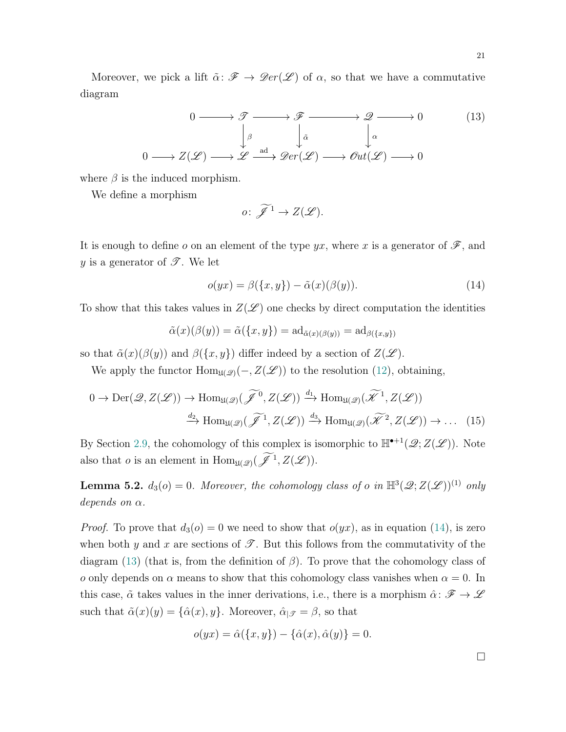Moreover, we pick a lift  $\tilde{\alpha}$ :  $\mathscr{F} \to \mathscr{D}er(\mathscr{L})$  of  $\alpha$ , so that we have a commutative diagram

$$
0 \longrightarrow \mathcal{T} \longrightarrow \mathcal{F} \longrightarrow \mathcal{Q} \longrightarrow 0 \qquad (13)
$$
  
\n
$$
\downarrow^{\beta} \downarrow^{\tilde{\alpha}} \downarrow^{\alpha}
$$
  
\n
$$
0 \longrightarrow Z(\mathcal{L}) \longrightarrow \mathcal{L} \xrightarrow{\text{ad}} \mathcal{D}er(\mathcal{L}) \longrightarrow \mathcal{O}ut(\mathcal{L}) \longrightarrow 0
$$

where  $\beta$  is the induced morphism.

We define a morphism

<span id="page-20-1"></span><span id="page-20-0"></span>
$$
o\colon\widetilde{\mathscr{J}}^1\to Z(\mathscr{L}).
$$

It is enough to define o on an element of the type yx, where x is a generator of  $\mathscr{F}$ , and y is a generator of  $\mathscr{T}$ . We let

$$
o(yx) = \beta(\{x, y\}) - \tilde{\alpha}(x)(\beta(y)).
$$
\n(14)

To show that this takes values in  $Z(\mathscr{L})$  one checks by direct computation the identities

$$
\tilde{\alpha}(x)(\beta(y)) = \tilde{\alpha}(\{x, y\}) = \mathrm{ad}_{\tilde{\alpha}(x)(\beta(y))} = \mathrm{ad}_{\beta(\{x, y\})}
$$

so that  $\tilde{\alpha}(x)(\beta(y))$  and  $\beta(\lbrace x,y \rbrace)$  differ indeed by a section of  $Z(\mathscr{L})$ .

We apply the functor  $\text{Hom}_{\mathfrak{U}(\mathcal{Q})}(-, Z(\mathcal{L}))$  to the resolution [\(12\)](#page-19-0), obtaining,

$$
0 \to \text{Der}(\mathcal{Q}, Z(\mathcal{L})) \to \text{Hom}_{\mathfrak{U}(\mathcal{Q})}(\widetilde{\mathcal{J}}^0, Z(\mathcal{L})) \xrightarrow{d_1} \text{Hom}_{\mathfrak{U}(\mathcal{Q})}(\widetilde{\mathcal{K}}^1, Z(\mathcal{L}))
$$
  

$$
\xrightarrow{d_2} \text{Hom}_{\mathfrak{U}(\mathcal{Q})}(\widetilde{\mathcal{J}}^1, Z(\mathcal{L})) \xrightarrow{d_3} \text{Hom}_{\mathfrak{U}(\mathcal{Q})}(\widetilde{\mathcal{K}}^2, Z(\mathcal{L})) \to \dots (15)
$$

By Section [2.9,](#page-9-2) the cohomology of this complex is isomorphic to  $\mathbb{H}^{\bullet+1}(\mathscr{Q}; Z(\mathscr{L}))$ . Note also that *o* is an element in  $\text{Hom}_{\mathfrak{U}(\mathscr{Q})}(\mathscr{J}^1, Z(\mathscr{L}))$ .

**Lemma 5.2.**  $d_3(o) = 0$ . Moreover, the cohomology class of o in  $\mathbb{H}^3(\mathscr{Q}; Z(\mathscr{L}))^{(1)}$  only depends on  $\alpha$ .

*Proof.* To prove that  $d_3(o) = 0$  we need to show that  $o(yx)$ , as in equation [\(14\)](#page-20-0), is zero when both y and x are sections of  $\mathscr{T}$ . But this follows from the commutativity of the diagram [\(13\)](#page-20-1) (that is, from the definition of  $\beta$ ). To prove that the cohomology class of o only depends on  $\alpha$  means to show that this cohomology class vanishes when  $\alpha = 0$ . In this case,  $\tilde{\alpha}$  takes values in the inner derivations, i.e., there is a morphism  $\hat{\alpha}$ :  $\mathscr{F} \to \mathscr{L}$ such that  $\tilde{\alpha}(x)(y) = {\hat{\alpha}(x), y}$ . Moreover,  $\hat{\alpha}_{|\mathcal{F}} = \beta$ , so that

$$
o(yx) = \hat{\alpha}(\{x, y\}) - \{\hat{\alpha}(x), \hat{\alpha}(y)\} = 0.
$$

<span id="page-20-2"></span> $\Box$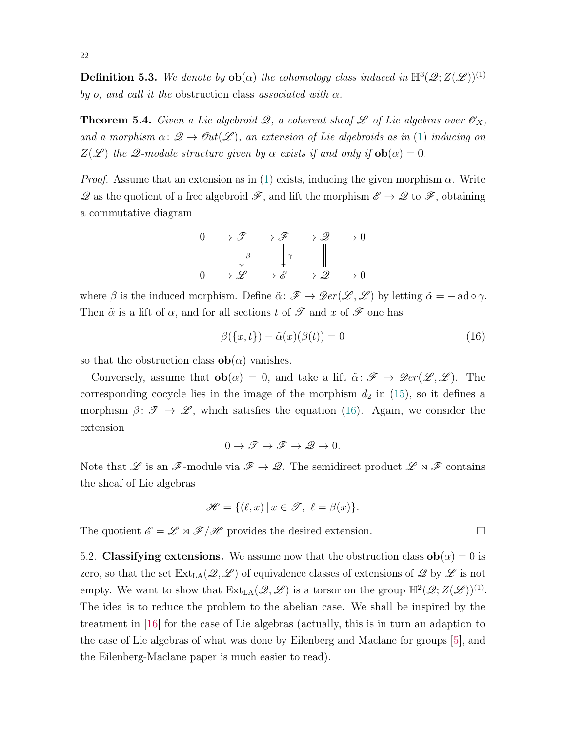**Definition 5.3.** We denote by  $ob(\alpha)$  the cohomology class induced in  $\mathbb{H}^3(\mathscr{Q}; Z(\mathscr{L}))^{(1)}$ by o, and call it the obstruction class associated with  $\alpha$ .

**Theorem 5.4.** Given a Lie algebroid 2, a coherent sheaf  $\mathscr L$  of Lie algebras over  $\mathscr O_X$ , and a morphism  $\alpha: \mathscr{Q} \to \mathscr{O}\mathfrak{u}(\mathscr{L})$ , an extension of Lie algebroids as in [\(1\)](#page-1-1) inducing on  $Z(\mathscr{L})$  the  $\mathscr{Q}\text{-module structure given by }\alpha$  exists if and only if  $ob(\alpha) = 0$ .

*Proof.* Assume that an extension as in [\(1\)](#page-1-1) exists, inducing the given morphism  $\alpha$ . Write  $\mathscr Q$  as the quotient of a free algebroid  $\mathscr F$ , and lift the morphism  $\mathscr E \to \mathscr Q$  to  $\mathscr F$ , obtaining a commutative diagram



where  $\beta$  is the induced morphism. Define  $\tilde{\alpha}$ :  $\mathscr{F} \to \mathscr{D}er(\mathscr{L}, \mathscr{L})$  by letting  $\tilde{\alpha} = -\operatorname{ad} \circ \gamma$ . Then  $\tilde{\alpha}$  is a lift of  $\alpha$ , and for all sections t of  $\mathscr T$  and  $x$  of  $\mathscr F$  one has

$$
\beta(\lbrace x,t \rbrace) - \tilde{\alpha}(x)(\beta(t)) = 0 \tag{16}
$$

so that the obstruction class  $ob(\alpha)$  vanishes.

Conversely, assume that  $ob(\alpha) = 0$ , and take a lift  $\tilde{\alpha} \colon \mathscr{F} \to \mathscr{D}er(\mathscr{L}, \mathscr{L})$ . The corresponding cocycle lies in the image of the morphism  $d_2$  in [\(15\)](#page-20-2), so it defines a morphism  $\beta: \mathscr{T} \to \mathscr{L}$ , which satisfies the equation [\(16\)](#page-21-0). Again, we consider the extension

$$
0 \to \mathcal{F} \to \mathcal{F} \to \mathcal{Q} \to 0.
$$

Note that L is an F-module via  $\mathscr{F} \to \mathscr{Q}$ . The semidirect product  $\mathscr{L} \rtimes \mathscr{F}$  contains the sheaf of Lie algebras

$$
\mathscr{H} = \{ (\ell, x) \, | \, x \in \mathscr{T}, \ \ell = \beta(x) \}.
$$

The quotient  $\mathscr{E} = \mathscr{L} \rtimes \mathscr{F} / \mathscr{H}$  provides the desired extension.

5.2. Classifying extensions. We assume now that the obstruction class  $ob(\alpha) = 0$  is zero, so that the set  $\text{Ext}_{LA}(\mathcal{Q}, \mathcal{L})$  of equivalence classes of extensions of  $\mathcal{Q}$  by  $\mathcal{L}$  is not empty. We want to show that  $\text{Ext}_{\text{LA}}(\mathscr{Q}, \mathscr{L})$  is a torsor on the group  $\mathbb{H}^2(\mathscr{Q}; Z(\mathscr{L}))^{(1)}$ . The idea is to reduce the problem to the abelian case. We shall be inspired by the treatment in [\[16\]](#page-26-12) for the case of Lie algebras (actually, this is in turn an adaption to the case of Lie algebras of what was done by Eilenberg and Maclane for groups [\[5\]](#page-25-6), and the Eilenberg-Maclane paper is much easier to read).

<span id="page-21-0"></span>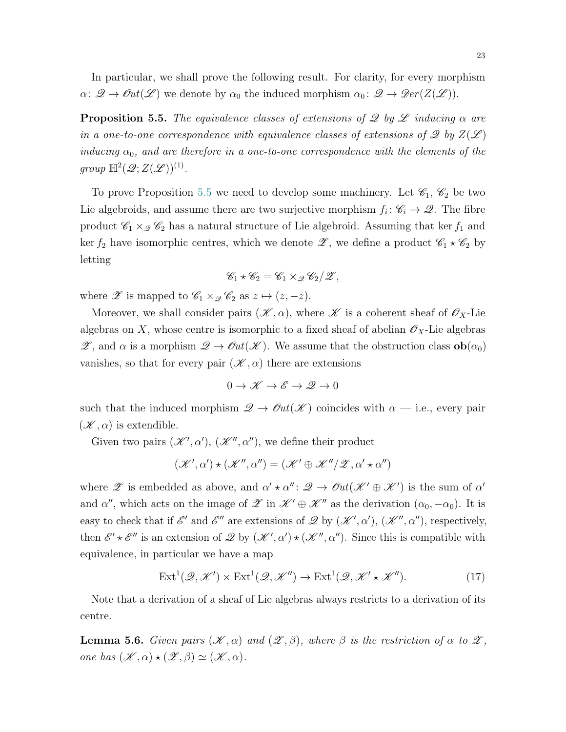In particular, we shall prove the following result. For clarity, for every morphism  $\alpha\colon \mathscr{Q}\to \mathscr{O}\!\mathscr{u}t(\mathscr{L})$  we denote by  $\alpha_0$  the induced morphism  $\alpha_0\colon \mathscr{Q}\to \mathscr{D}\!\mathscr{e}r(Z(\mathscr{L}))$ .

<span id="page-22-0"></span>**Proposition 5.5.** The equivalence classes of extensions of  $\mathscr Q$  by  $\mathscr L$  inducing  $\alpha$  are in a one-to-one correspondence with equivalence classes of extensions of  $\mathscr{Q}$  by  $Z(\mathscr{L})$ inducing  $\alpha_0$ , and are therefore in a one-to-one correspondence with the elements of the group  $\mathbb{H}^2(\mathscr{Q};Z(\mathscr{L}))^{(1)}$ .

To prove Proposition [5.5](#page-22-0) we need to develop some machinery. Let  $\mathscr{C}_1$ ,  $\mathscr{C}_2$  be two Lie algebroids, and assume there are two surjective morphism  $f_i: \mathscr{C}_i \to \mathscr{Q}$ . The fibre product  $\mathcal{C}_1 \times_{\mathcal{Q}} \mathcal{C}_2$  has a natural structure of Lie algebroid. Assuming that ker  $f_1$  and ker  $f_2$  have isomorphic centres, which we denote  $\mathscr{Z}$ , we define a product  $\mathscr{C}_1 \star \mathscr{C}_2$  by letting

$$
\mathscr{C}_1 \star \mathscr{C}_2 = \mathscr{C}_1 \times_{\mathscr{Q}} \mathscr{C}_2 / \mathscr{Z},
$$

where  $\mathscr{Z}$  is mapped to  $\mathscr{C}_1 \times_{\mathscr{Q}} \mathscr{C}_2$  as  $z \mapsto (z, -z)$ .

Moreover, we shall consider pairs  $(\mathscr{K}, \alpha)$ , where  $\mathscr{K}$  is a coherent sheaf of  $\mathscr{O}_X$ -Lie algebras on X, whose centre is isomorphic to a fixed sheaf of abelian  $\mathscr{O}_X$ -Lie algebras  $\mathscr{Z}$ , and  $\alpha$  is a morphism  $\mathscr{Q} \to \mathscr{O}\hspace{-0.01cm}\mathscr{U}(\mathscr{K})$ . We assume that the obstruction class  $\mathbf{ob}(\alpha_0)$ vanishes, so that for every pair  $(\mathscr{K}, \alpha)$  there are extensions

<span id="page-22-1"></span>
$$
0 \to \mathscr{K} \to \mathscr{E} \to \mathscr{Q} \to 0
$$

such that the induced morphism  $\mathcal{Q} \to \mathcal{O}ut(\mathcal{K})$  coincides with  $\alpha$  — i.e., every pair  $(\mathscr{K}, \alpha)$  is extendible.

Given two pairs  $(\mathscr{K}', \alpha')$ ,  $(\mathscr{K}'', \alpha'')$ , we define their product

$$
(\mathscr{K}',\alpha') \star (\mathscr{K}'',\alpha'') = (\mathscr{K}' \oplus \mathscr{K}'' / \mathscr{Z}, \alpha' \star \alpha'')
$$

where  $\mathscr X$  is embedded as above, and  $\alpha' \star \alpha'' : \mathscr Q \to \mathscr{O}\!\mathscr{u} \mathscr{U} \to \mathscr{K}'$  is the sum of  $\alpha'$ and  $\alpha''$ , which acts on the image of  $\mathscr{Z}$  in  $\mathscr{K}' \oplus \mathscr{K}''$  as the derivation  $(\alpha_0, -\alpha_0)$ . It is easy to check that if  $\mathscr{E}'$  and  $\mathscr{E}''$  are extensions of  $\mathscr{Q}$  by  $(\mathscr{K}', \alpha')$ ,  $(\mathscr{K}'', \alpha'')$ , respectively, then  $\mathscr{E}' \star \mathscr{E}''$  is an extension of  $\mathscr{Q}$  by  $(\mathscr{K}', \alpha') \star (\mathscr{K}'', \alpha'')$ . Since this is compatible with equivalence, in particular we have a map

$$
\operatorname{Ext}^{1}(\mathcal{Q}, \mathcal{K}') \times \operatorname{Ext}^{1}(\mathcal{Q}, \mathcal{K}'') \to \operatorname{Ext}^{1}(\mathcal{Q}, \mathcal{K}' \star \mathcal{K}''). \tag{17}
$$

Note that a derivation of a sheaf of Lie algebras always restricts to a derivation of its centre.

**Lemma 5.6.** Given pairs  $(\mathcal{K}, \alpha)$  and  $(\mathcal{Z}, \beta)$ , where  $\beta$  is the restriction of  $\alpha$  to  $\mathcal{Z}$ , one has  $(\mathscr{K}, \alpha) \star (\mathscr{Z}, \beta) \simeq (\mathscr{K}, \alpha)$ .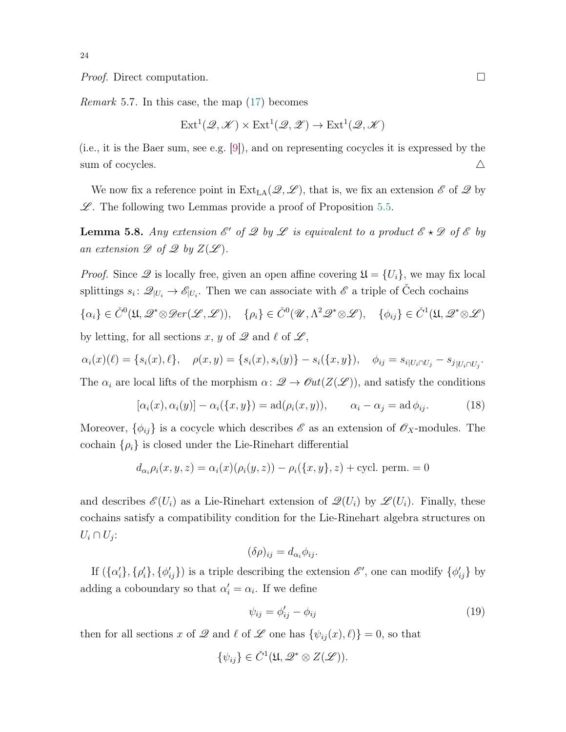*Proof.* Direct computation.  $\square$ 

Remark 5.7. In this case, the map [\(17\)](#page-22-1) becomes

$$
Ext^1(\mathscr{Q}, \mathscr{K}) \times Ext^1(\mathscr{Q}, \mathscr{Z}) \to Ext^1(\mathscr{Q}, \mathscr{K})
$$

(i.e., it is the Baer sum, see e.g. [\[9\]](#page-26-13)), and on representing cocycles it is expressed by the sum of cocycles.  $\triangle$ 

We now fix a reference point in  $Ext_{LA}(\mathcal{Q}, \mathcal{L})$ , that is, we fix an extension  $\mathcal{E}$  of  $\mathcal{Q}$  by  $\mathscr{L}$ . The following two Lemmas provide a proof of Proposition [5.5.](#page-22-0)

**Lemma 5.8.** Any extension  $\mathscr{E}'$  of  $\mathscr{Q}$  by  $\mathscr{L}$  is equivalent to a product  $\mathscr{E} \star \mathscr{D}$  of  $\mathscr{E}$  by an extension  $\mathscr{D}$  of  $\mathscr{Q}$  by  $Z(\mathscr{L})$ .

*Proof.* Since  $\mathscr Q$  is locally free, given an open affine covering  $\mathfrak U = \{U_i\}$ , we may fix local splittings  $s_i: \mathcal{Q}_{|U_i} \to \mathcal{E}_{|U_i}$ . Then we can associate with  $\mathcal E$  a triple of Cech cochains  $\{\alpha_i\} \in \check{C}^0(\mathfrak{U}, \mathscr{Q}^* \otimes \mathscr{D}er(\mathscr{L}, \mathscr{L}))$ ,  $\{\rho_i\} \in \check{C}^0(\mathscr{U}, \Lambda^2 \mathscr{Q}^* \otimes \mathscr{L})$ ,  $\{\phi_{ij}\} \in \check{C}^1(\mathfrak{U}, \mathscr{Q}^* \otimes \mathscr{L})$ by letting, for all sections x, y of  $\mathscr Q$  and  $\ell$  of  $\mathscr L$ ,

$$
\alpha_i(x)(\ell) = \{s_i(x), \ell\}, \quad \rho(x, y) = \{s_i(x), s_i(y)\} - s_i(\{x, y\}), \quad \phi_{ij} = s_{i|U_i \cap U_j} - s_{j|U_i \cap U_j}.
$$

The  $\alpha_i$  are local lifts of the morphism  $\alpha: \mathcal{Q} \to \mathcal{O}\mathfrak{ut}(Z(\mathcal{L}))$ , and satisfy the conditions

$$
[\alpha_i(x), \alpha_i(y)] - \alpha_i(\{x, y\}) = \text{ad}(\rho_i(x, y)), \qquad \alpha_i - \alpha_j = \text{ad}\,\phi_{ij}.
$$
 (18)

Moreover,  $\{\phi_{ij}\}$  is a cocycle which describes  $\mathscr E$  as an extension of  $\mathscr O_X$ -modules. The cochain  $\{\rho_i\}$  is closed under the Lie-Rinehart differential

$$
d_{\alpha_i} \rho_i(x, y, z) = \alpha_i(x) (\rho_i(y, z)) - \rho_i({x, y}, z) + \text{cycl. perm.} = 0
$$

and describes  $\mathscr{E}(U_i)$  as a Lie-Rinehart extension of  $\mathscr{Q}(U_i)$  by  $\mathscr{L}(U_i)$ . Finally, these cochains satisfy a compatibility condition for the Lie-Rinehart algebra structures on  $U_i \cap U_j$ :

<span id="page-23-0"></span>
$$
(\delta \rho)_{ij} = d_{\alpha_i} \phi_{ij}.
$$

If  $(\{\alpha_i'\}, \{\rho_i'\}, \{\phi_{ij}'\})$  is a triple describing the extension  $\mathscr{E}'$ , one can modify  $\{\phi_{ij}'\}$  by adding a coboundary so that  $\alpha_i' = \alpha_i$ . If we define

<span id="page-23-1"></span>
$$
\psi_{ij} = \phi'_{ij} - \phi_{ij} \tag{19}
$$

then for all sections x of  $\mathscr Q$  and  $\ell$  of  $\mathscr L$  one has  $\{\psi_{ij}(x), \ell\} = 0$ , so that

$$
\{\psi_{ij}\} \in \check{C}^1(\mathfrak{U}, \mathscr{Q}^* \otimes Z(\mathscr{L})).
$$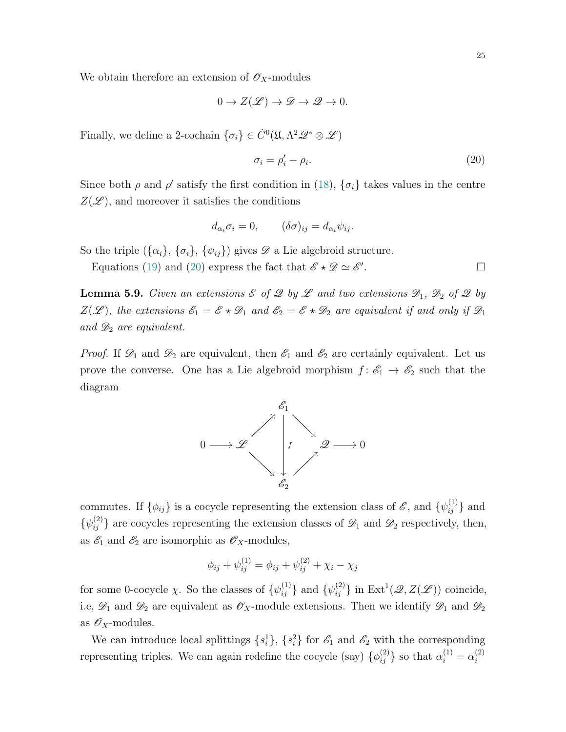We obtain therefore an extension of  $\mathscr{O}_X$ -modules

$$
0 \to Z(\mathscr{L}) \to \mathscr{D} \to \mathscr{Q} \to 0.
$$

Finally, we define a 2-cochain  $\{\sigma_i\} \in \check{C}^0(\mathfrak{U}, \Lambda^2 \mathcal{Q}^* \otimes \mathcal{L})$ 

<span id="page-24-0"></span>
$$
\sigma_i = \rho_i' - \rho_i. \tag{20}
$$

Since both  $\rho$  and  $\rho'$  satisfy the first condition in [\(18\)](#page-23-0),  $\{\sigma_i\}$  takes values in the centre  $Z(\mathscr{L})$ , and moreover it satisfies the conditions

$$
d_{\alpha_i}\sigma_i = 0, \qquad (\delta\sigma)_{ij} = d_{\alpha_i}\psi_{ij}.
$$

So the triple  $({\{\alpha_i\}}, {\{\sigma_i\}}, {\{\psi_{ij}\}})$  gives  $\mathscr D$  a Lie algebroid structure.

Equations [\(19\)](#page-23-1) and [\(20\)](#page-24-0) express the fact that  $\mathscr{E} \star \mathscr{D} \simeq \mathscr{E}'$ .

<span id="page-24-1"></span>**Lemma 5.9.** Given an extensions  $\mathscr E$  of  $\mathscr Q$  by  $\mathscr L$  and two extensions  $\mathscr D_1$ ,  $\mathscr D_2$  of  $\mathscr Q$  by  $Z(\mathscr{L})$ , the extensions  $\mathscr{E}_1 = \mathscr{E} \star \mathscr{D}_1$  and  $\mathscr{E}_2 = \mathscr{E} \star \mathscr{D}_2$  are equivalent if and only if  $\mathscr{D}_1$ and  $\mathscr{D}_2$  are equivalent.

*Proof.* If  $\mathscr{D}_1$  and  $\mathscr{D}_2$  are equivalent, then  $\mathscr{E}_1$  and  $\mathscr{E}_2$  are certainly equivalent. Let us prove the converse. One has a Lie algebroid morphism  $f: \mathscr{E}_1 \to \mathscr{E}_2$  such that the diagram



commutes. If  $\{\phi_{ij}\}\$ is a cocycle representing the extension class of  $\mathscr{E}$ , and  $\{\psi_{ij}^{(1)}\}\$ and  $\{\psi_{ij}^{(2)}\}$  are cocycles representing the extension classes of  $\mathscr{D}_1$  and  $\mathscr{D}_2$  respectively, then, as  $\mathscr{E}_1$  and  $\mathscr{E}_2$  are isomorphic as  $\mathscr{O}_X$ -modules,

$$
\phi_{ij} + \psi_{ij}^{(1)} = \phi_{ij} + \psi_{ij}^{(2)} + \chi_i - \chi_j
$$

for some 0-cocycle  $\chi$ . So the classes of  $\{\psi_{ij}^{(1)}\}$  and  $\{\psi_{ij}^{(2)}\}$  in  $\text{Ext}^1(\mathscr{Q}, Z(\mathscr{L}))$  coincide, i.e,  $\mathscr{D}_1$  and  $\mathscr{D}_2$  are equivalent as  $\mathscr{O}_X$ -module extensions. Then we identify  $\mathscr{D}_1$  and  $\mathscr{D}_2$ as  $\mathscr{O}_X$ -modules.

We can introduce local splittings  $\{s_i^1\}$ ,  $\{s_i^2\}$  for  $\mathscr{E}_1$  and  $\mathscr{E}_2$  with the corresponding representing triples. We can again redefine the cocycle (say)  $\{\phi_{ij}^{(2)}\}$  so that  $\alpha_i^{(1)} = \alpha_i^{(2)}$ i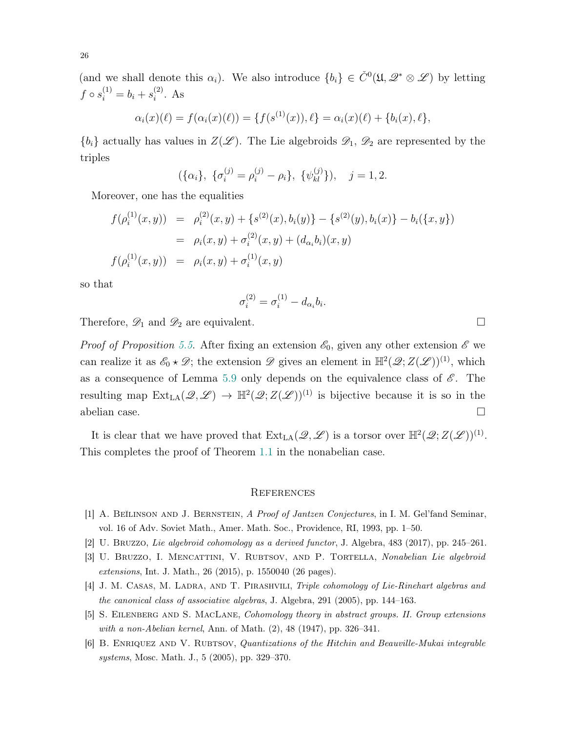(and we shall denote this  $\alpha_i$ ). We also introduce  $\{b_i\} \in \check{C}^0(\mathfrak{U}, \mathcal{Q}^* \otimes \mathcal{L})$  by letting  $f \circ s_i^{(1)} = b_i + s_i^{(2)}$  $i^{(2)}$ . As

$$
\alpha_i(x)(\ell) = f(\alpha_i(x)(\ell)) = \{f(s^{(1)}(x)), \ell\} = \alpha_i(x)(\ell) + \{b_i(x), \ell\},\
$$

 ${b_i}$  actually has values in  $Z(\mathcal{L})$ . The Lie algebroids  $\mathcal{D}_1$ ,  $\mathcal{D}_2$  are represented by the triples

$$
(\{\alpha_i\}, \{\sigma_i^{(j)} = \rho_i^{(j)} - \rho_i\}, \{\psi_{kl}^{(j)}\}), \quad j = 1, 2.
$$

Moreover, one has the equalities

$$
f(\rho_i^{(1)}(x, y)) = \rho_i^{(2)}(x, y) + \{s^{(2)}(x), b_i(y)\} - \{s^{(2)}(y), b_i(x)\} - b_i(\{x, y\})
$$
  

$$
= \rho_i(x, y) + \sigma_i^{(2)}(x, y) + (d_{\alpha_i}b_i)(x, y)
$$
  

$$
f(\rho_i^{(1)}(x, y)) = \rho_i(x, y) + \sigma_i^{(1)}(x, y)
$$

so that

$$
\sigma_i^{(2)} = \sigma_i^{(1)} - d_{\alpha_i} b_i.
$$

Therefore,  $\mathscr{D}_1$  and  $\mathscr{D}_2$  are equivalent.

*Proof of Proposition [5.5](#page-22-0).* After fixing an extension  $\mathscr{E}_0$ , given any other extension  $\mathscr{E}$  we can realize it as  $\mathscr{E}_0 \star \mathscr{D}$ ; the extension  $\mathscr{D}$  gives an element in  $\mathbb{H}^2(\mathscr{Q}; Z(\mathscr{L}))^{(1)}$ , which as a consequence of Lemma [5.9](#page-24-1) only depends on the equivalence class of  $\mathscr{E}$ . The resulting map  $\text{Ext}_{\text{LA}}(\mathscr{Q},\mathscr{L}) \to \mathbb{H}^2(\mathscr{Q};Z(\mathscr{L}))^{(1)}$  is bijective because it is so in the abelian case.  $\Box$ 

It is clear that we have proved that  $\text{Ext}_{LA}(\mathscr{Q}, \mathscr{L})$  is a torsor over  $\mathbb{H}^2(\mathscr{Q}; Z(\mathscr{L}))^{(1)}$ . This completes the proof of Theorem [1.1](#page-2-0) in the nonabelian case.

## <span id="page-25-0"></span>**REFERENCES**

- <span id="page-25-4"></span>[1] A. BEĬLINSON AND J. BERNSTEIN, A Proof of Jantzen Conjectures, in I. M. Gel'fand Seminar, vol. 16 of Adv. Soviet Math., Amer. Math. Soc., Providence, RI, 1993, pp. 1–50.
- <span id="page-25-2"></span>[2] U. Bruzzo, Lie algebroid cohomology as a derived functor, J. Algebra, 483 (2017), pp. 245–261.
- <span id="page-25-1"></span>[3] U. BRUZZO, I. MENCATTINI, V. RUBTSOV, AND P. TORTELLA, Nonabelian Lie algebroid extensions, Int. J. Math., 26 (2015), p. 1550040 (26 pages).
- <span id="page-25-5"></span>[4] J. M. CASAS, M. LADRA, AND T. PIRASHVILI, Triple cohomology of Lie-Rinehart algebras and the canonical class of associative algebras, J. Algebra, 291 (2005), pp. 144–163.
- <span id="page-25-6"></span>[5] S. Eilenberg and S. MacLane, Cohomology theory in abstract groups. II. Group extensions with a non-Abelian kernel, Ann. of Math. (2), 48 (1947), pp. 326–341.
- <span id="page-25-3"></span>[6] B. ENRIQUEZ AND V. RUBTSOV, *Quantizations of the Hitchin and Beauville-Mukai integrable* systems, Mosc. Math. J., 5 (2005), pp. 329–370.

26